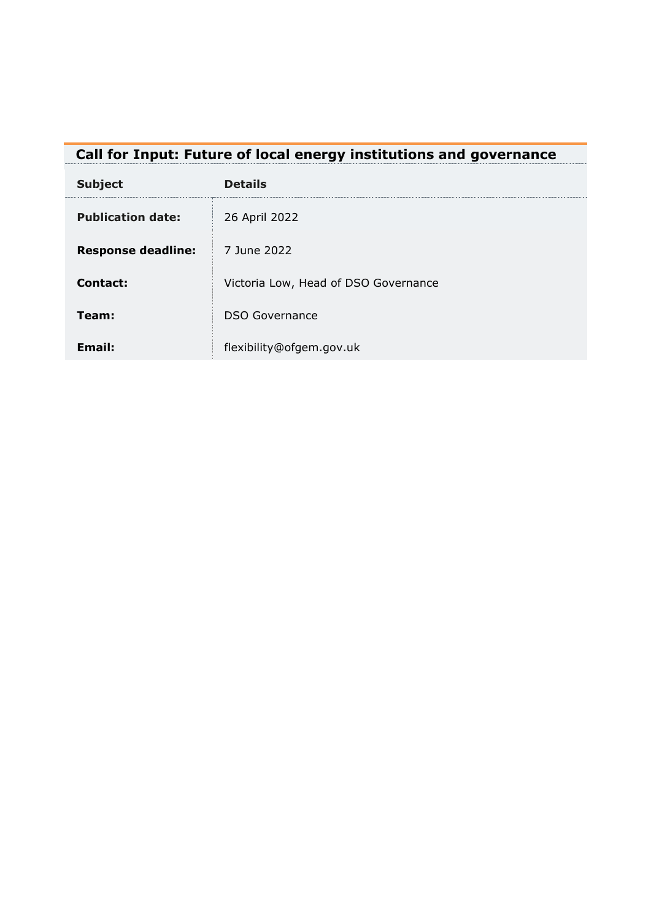<span id="page-0-0"></span>

| Call for Input: Future of local energy institutions and governance |
|--------------------------------------------------------------------|
|--------------------------------------------------------------------|

| <b>Subject</b>            | <b>Details</b>                       |
|---------------------------|--------------------------------------|
| <b>Publication date:</b>  | 26 April 2022                        |
| <b>Response deadline:</b> | 7 June 2022                          |
| Contact:                  | Victoria Low, Head of DSO Governance |
| Team:                     | <b>DSO Governance</b>                |
| Email:                    | flexibility@ofgem.gov.uk             |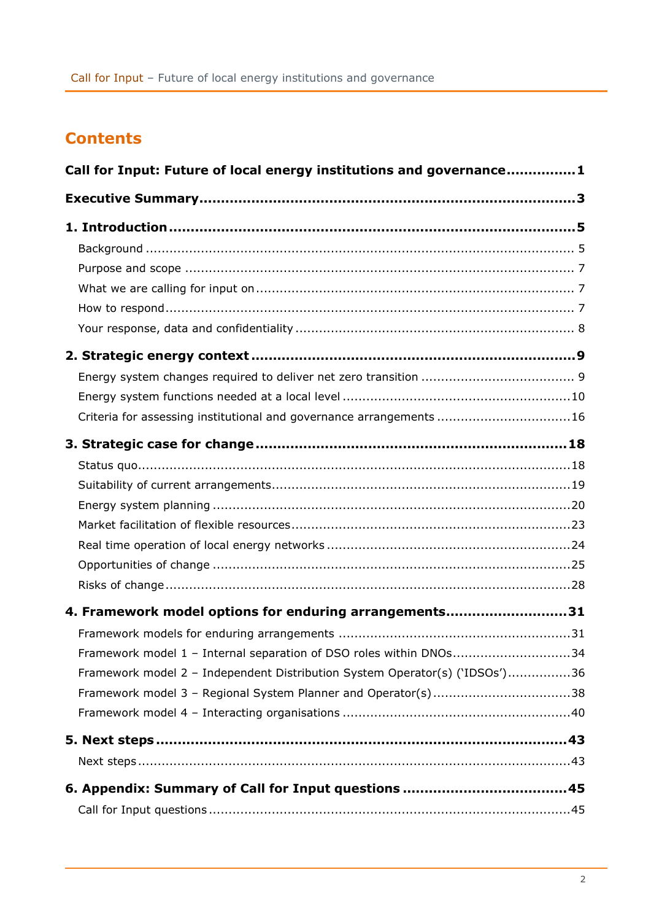# **Contents**

| Call for Input: Future of local energy institutions and governance1         |  |  |  |  |
|-----------------------------------------------------------------------------|--|--|--|--|
|                                                                             |  |  |  |  |
|                                                                             |  |  |  |  |
|                                                                             |  |  |  |  |
|                                                                             |  |  |  |  |
|                                                                             |  |  |  |  |
|                                                                             |  |  |  |  |
|                                                                             |  |  |  |  |
|                                                                             |  |  |  |  |
|                                                                             |  |  |  |  |
|                                                                             |  |  |  |  |
| Criteria for assessing institutional and governance arrangements 16         |  |  |  |  |
|                                                                             |  |  |  |  |
|                                                                             |  |  |  |  |
|                                                                             |  |  |  |  |
|                                                                             |  |  |  |  |
|                                                                             |  |  |  |  |
|                                                                             |  |  |  |  |
|                                                                             |  |  |  |  |
|                                                                             |  |  |  |  |
| 4. Framework model options for enduring arrangements31                      |  |  |  |  |
|                                                                             |  |  |  |  |
| Framework model 1 - Internal separation of DSO roles within DNOs34          |  |  |  |  |
| Framework model 2 - Independent Distribution System Operator(s) ('IDSOs')36 |  |  |  |  |
| Framework model 3 - Regional System Planner and Operator(s)38               |  |  |  |  |
|                                                                             |  |  |  |  |
|                                                                             |  |  |  |  |
|                                                                             |  |  |  |  |
|                                                                             |  |  |  |  |
|                                                                             |  |  |  |  |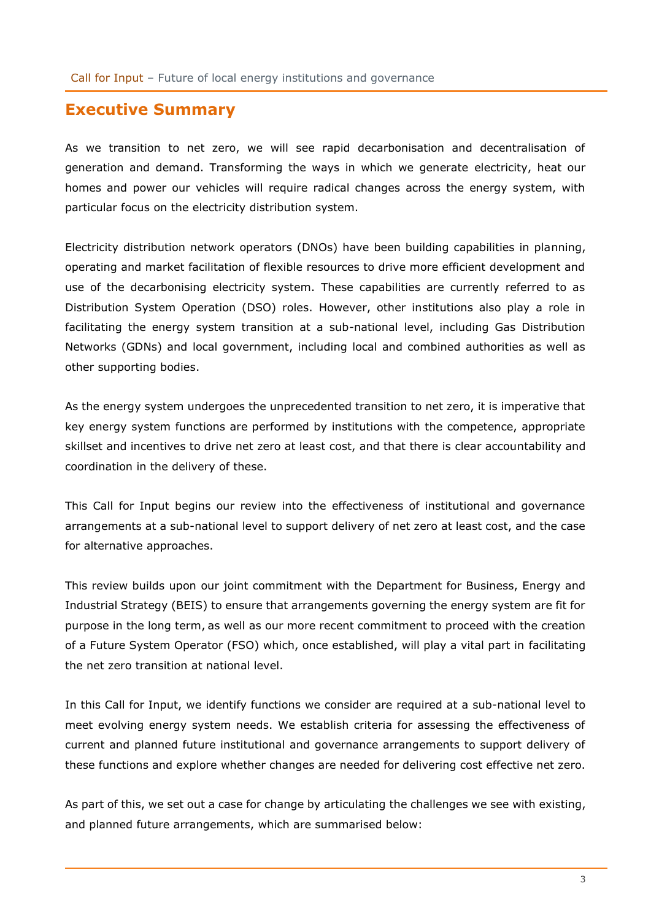## <span id="page-2-0"></span>**Executive Summary**

As we transition to net zero, we will see rapid decarbonisation and decentralisation of generation and demand. Transforming the ways in which we generate electricity, heat our homes and power our vehicles will require radical changes across the energy system, with particular focus on the electricity distribution system.

Electricity distribution network operators (DNOs) have been building capabilities in planning, operating and market facilitation of flexible resources to drive more efficient development and use of the decarbonising electricity system. These capabilities are currently referred to as Distribution System Operation (DSO) roles. However, other institutions also play a role in facilitating the energy system transition at a sub-national level, including Gas Distribution Networks (GDNs) and local government, including local and combined authorities as well as other supporting bodies.

As the energy system undergoes the unprecedented transition to net zero, it is imperative that key energy system functions are performed by institutions with the competence, appropriate skillset and incentives to drive net zero at least cost, and that there is clear accountability and coordination in the delivery of these.

This Call for Input begins our review into the effectiveness of institutional and governance arrangements at a sub-national level to support delivery of net zero at least cost, and the case for alternative approaches.

This review builds upon our joint commitment with the Department for Business, Energy and Industrial Strategy (BEIS) to ensure that arrangements governing the energy system are fit for purpose in the long term, as well as our more recent commitment to proceed with the creation of a Future System Operator (FSO) which, once established, will play a vital part in facilitating the net zero transition at national level.

In this Call for Input, we identify functions we consider are required at a sub-national level to meet evolving energy system needs. We establish criteria for assessing the effectiveness of current and planned future institutional and governance arrangements to support delivery of these functions and explore whether changes are needed for delivering cost effective net zero.

As part of this, we set out a case for change by articulating the challenges we see with existing, and planned future arrangements, which are summarised below: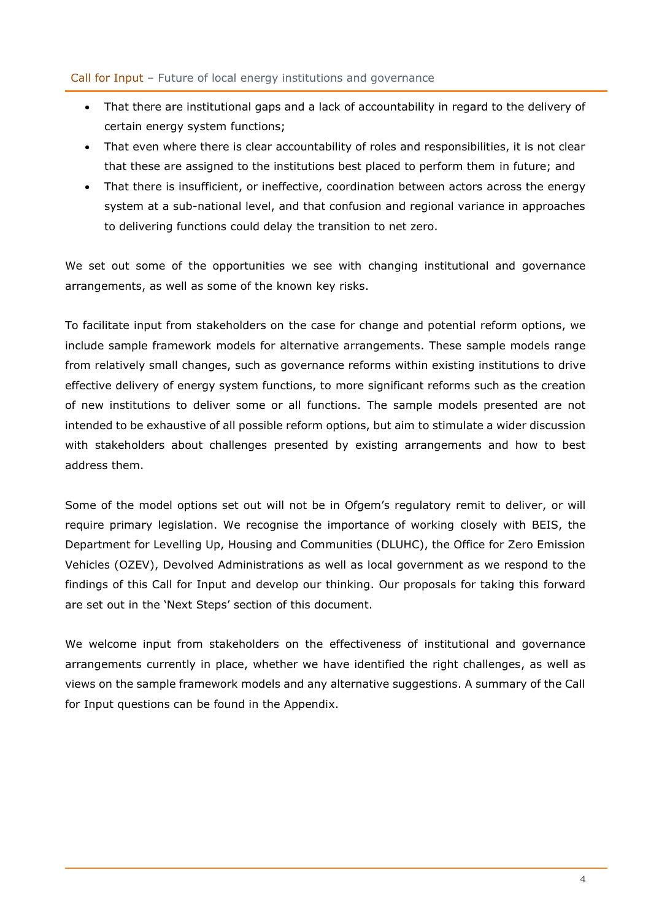- That there are institutional gaps and a lack of accountability in regard to the delivery of certain energy system functions;
- That even where there is clear accountability of roles and responsibilities, it is not clear that these are assigned to the institutions best placed to perform them in future; and
- That there is insufficient, or ineffective, coordination between actors across the energy system at a sub-national level, and that confusion and regional variance in approaches to delivering functions could delay the transition to net zero.

We set out some of the opportunities we see with changing institutional and governance arrangements, as well as some of the known key risks.

To facilitate input from stakeholders on the case for change and potential reform options, we include sample framework models for alternative arrangements. These sample models range from relatively small changes, such as governance reforms within existing institutions to drive effective delivery of energy system functions, to more significant reforms such as the creation of new institutions to deliver some or all functions. The sample models presented are not intended to be exhaustive of all possible reform options, but aim to stimulate a wider discussion with stakeholders about challenges presented by existing arrangements and how to best address them.

Some of the model options set out will not be in Ofgem's regulatory remit to deliver, or will require primary legislation. We recognise the importance of working closely with BEIS, the Department for Levelling Up, Housing and Communities (DLUHC), the Office for Zero Emission Vehicles (OZEV), Devolved Administrations as well as local government as we respond to the findings of this Call for Input and develop our thinking. Our proposals for taking this forward are set out in the 'Next Steps' section of this document.

We welcome input from stakeholders on the effectiveness of institutional and governance arrangements currently in place, whether we have identified the right challenges, as well as views on the sample framework models and any alternative suggestions. A summary of the Call for Input questions can be found in the Appendix.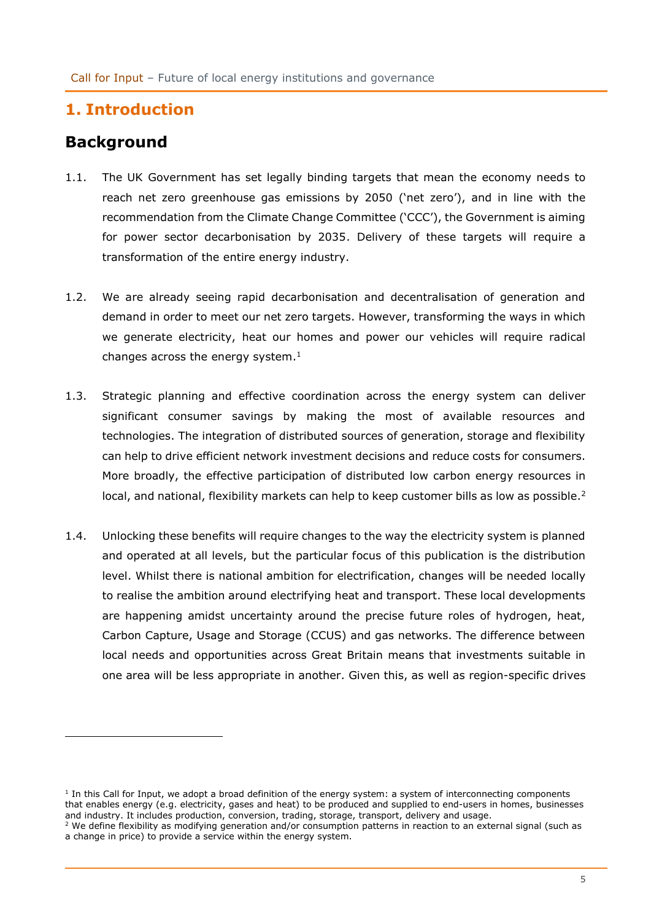# <span id="page-4-0"></span>**1. Introduction**

# <span id="page-4-1"></span>**Background**

- 1.1. The UK Government has set legally binding targets that mean the economy needs to reach net zero greenhouse gas emissions by 2050 ('net zero'), and in line with the recommendation from the Climate Change Committee ('CCC'), the Government is aiming for power sector decarbonisation by 2035. Delivery of these targets will require a transformation of the entire energy industry.
- 1.2. We are already seeing rapid decarbonisation and decentralisation of generation and demand in order to meet our net zero targets. However, transforming the ways in which we generate electricity, heat our homes and power our vehicles will require radical changes across the energy system. $<sup>1</sup>$ </sup>
- 1.3. Strategic planning and effective coordination across the energy system can deliver significant consumer savings by making the most of available resources and technologies. The integration of distributed sources of generation, storage and flexibility can help to drive efficient network investment decisions and reduce costs for consumers. More broadly, the effective participation of distributed low carbon energy resources in local, and national, flexibility markets can help to keep customer bills as low as possible.<sup>2</sup>
- 1.4. Unlocking these benefits will require changes to the way the electricity system is planned and operated at all levels, but the particular focus of this publication is the distribution level. Whilst there is national ambition for electrification, changes will be needed locally to realise the ambition around electrifying heat and transport. These local developments are happening amidst uncertainty around the precise future roles of hydrogen, heat, Carbon Capture, Usage and Storage (CCUS) and gas networks. The difference between local needs and opportunities across Great Britain means that investments suitable in one area will be less appropriate in another. Given this, as well as region-specific drives

<sup>&</sup>lt;sup>1</sup> In this Call for Input, we adopt a broad definition of the energy system: a system of interconnecting components that enables energy (e.g. electricity, gases and heat) to be produced and supplied to end-users in homes, businesses and industry. It includes production, conversion, trading, storage, transport, delivery and usage.

 $2$  We define flexibility as modifying generation and/or consumption patterns in reaction to an external signal (such as a change in price) to provide a service within the energy system.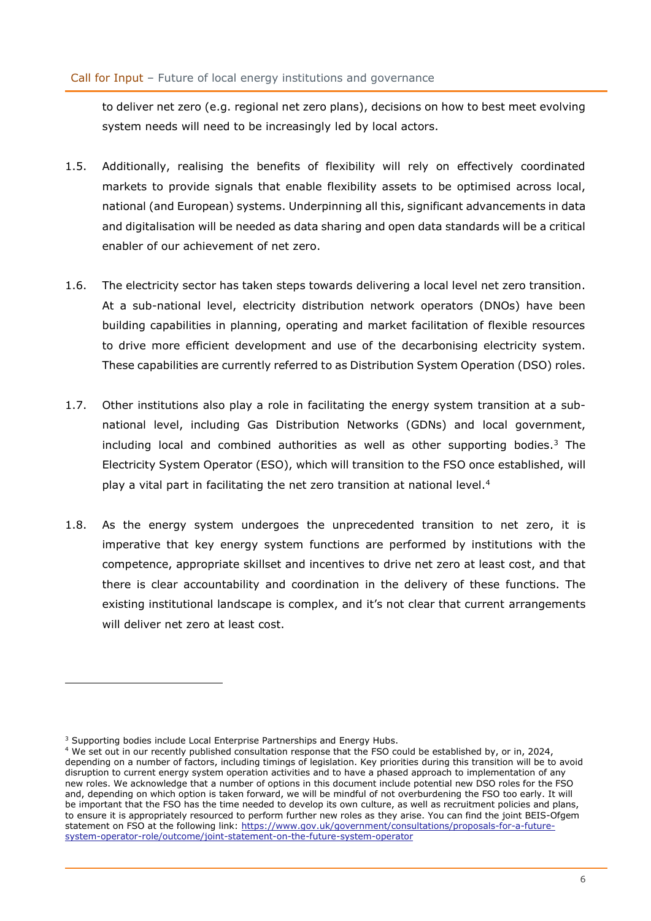to deliver net zero (e.g. regional net zero plans), decisions on how to best meet evolving system needs will need to be increasingly led by local actors.

- 1.5. Additionally, realising the benefits of flexibility will rely on effectively coordinated markets to provide signals that enable flexibility assets to be optimised across local, national (and European) systems. Underpinning all this, significant advancements in data and digitalisation will be needed as data sharing and open data standards will be a critical enabler of our achievement of net zero.
- 1.6. The electricity sector has taken steps towards delivering a local level net zero transition. At a sub-national level, electricity distribution network operators (DNOs) have been building capabilities in planning, operating and market facilitation of flexible resources to drive more efficient development and use of the decarbonising electricity system. These capabilities are currently referred to as Distribution System Operation (DSO) roles.
- 1.7. Other institutions also play a role in facilitating the energy system transition at a subnational level, including Gas Distribution Networks (GDNs) and local government, including local and combined authorities as well as other supporting bodies.<sup>3</sup> The Electricity System Operator (ESO), which will transition to the FSO once established, will play a vital part in facilitating the net zero transition at national level.<sup>4</sup>
- 1.8. As the energy system undergoes the unprecedented transition to net zero, it is imperative that key energy system functions are performed by institutions with the competence, appropriate skillset and incentives to drive net zero at least cost, and that there is clear accountability and coordination in the delivery of these functions. The existing institutional landscape is complex, and it's not clear that current arrangements will deliver net zero at least cost.

<sup>&</sup>lt;sup>3</sup> Supporting bodies include Local Enterprise Partnerships and Energy Hubs.

<sup>4</sup> We set out in our recently published consultation response that the FSO could be established by, or in, 2024, depending on a number of factors, including timings of legislation. Key priorities during this transition will be to avoid disruption to current energy system operation activities and to have a phased approach to implementation of any new roles. We acknowledge that a number of options in this document include potential new DSO roles for the FSO and, depending on which option is taken forward, we will be mindful of not overburdening the FSO too early. It will be important that the FSO has the time needed to develop its own culture, as well as recruitment policies and plans, to ensure it is appropriately resourced to perform further new roles as they arise. You can find the joint BEIS-Ofgem statement on FSO at the following link: [https://www.gov.uk/government/consultations/proposals-for-a-future](https://www.gov.uk/government/consultations/proposals-for-a-future-system-operator-role/outcome/joint-statement-on-the-future-system-operator)[system-operator-role/outcome/joint-statement-on-the-future-system-operator](https://www.gov.uk/government/consultations/proposals-for-a-future-system-operator-role/outcome/joint-statement-on-the-future-system-operator)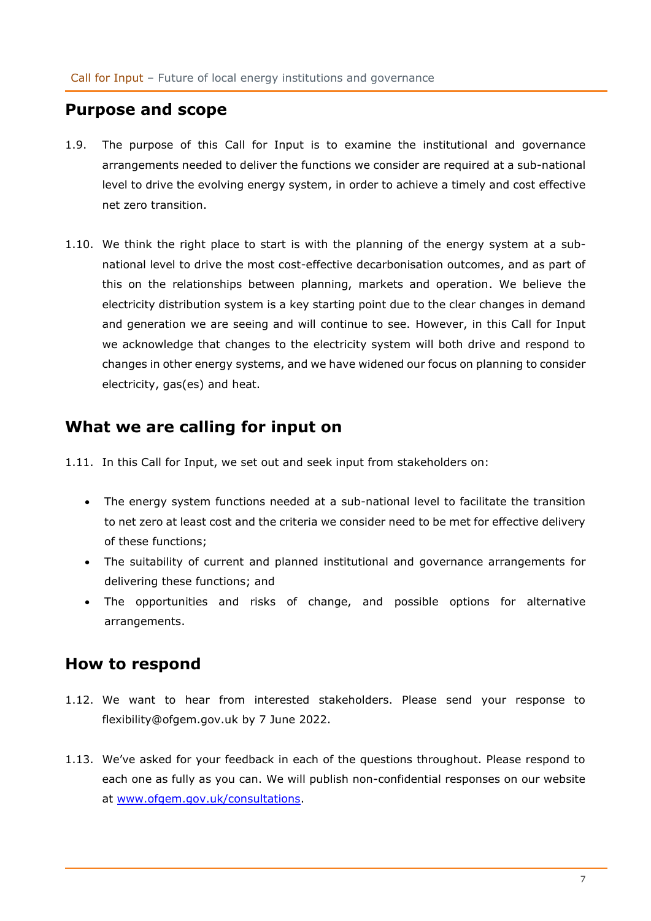# <span id="page-6-0"></span>**Purpose and scope**

- 1.9. The purpose of this Call for Input is to examine the institutional and governance arrangements needed to deliver the functions we consider are required at a sub-national level to drive the evolving energy system, in order to achieve a timely and cost effective net zero transition.
- 1.10. We think the right place to start is with the planning of the energy system at a subnational level to drive the most cost-effective decarbonisation outcomes, and as part of this on the relationships between planning, markets and operation. We believe the electricity distribution system is a key starting point due to the clear changes in demand and generation we are seeing and will continue to see. However, in this Call for Input we acknowledge that changes to the electricity system will both drive and respond to changes in other energy systems, and we have widened our focus on planning to consider electricity, gas(es) and heat.

# <span id="page-6-1"></span>**What we are calling for input on**

- 1.11. In this Call for Input, we set out and seek input from stakeholders on:
	- The energy system functions needed at a sub-national level to facilitate the transition to net zero at least cost and the criteria we consider need to be met for effective delivery of these functions;
	- The suitability of current and planned institutional and governance arrangements for delivering these functions; and
	- The opportunities and risks of change, and possible options for alternative arrangements.

# <span id="page-6-2"></span>**How to respond**

- 1.12. We want to hear from interested stakeholders. Please send your response to [flexibility@ofgem.gov.uk](mailto:flexibility@ofgem.gov.uk) by 7 June 2022.
- 1.13. We've asked for your feedback in each of the questions throughout. Please respond to each one as fully as you can. We will publish non-confidential responses on our website at [www.ofgem.gov.uk/consultations.](http://www.ofgem.gov.uk/consultations)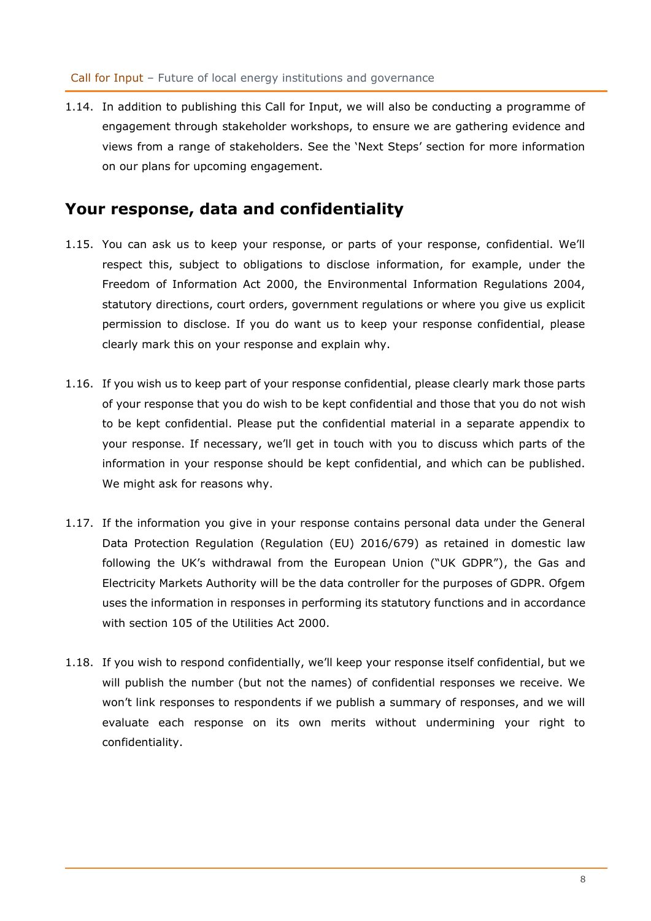1.14. In addition to publishing this Call for Input, we will also be conducting a programme of engagement through stakeholder workshops, to ensure we are gathering evidence and views from a range of stakeholders. See the 'Next Steps' section for more information on our plans for upcoming engagement.

## <span id="page-7-0"></span>**Your response, data and confidentiality**

- 1.15. You can ask us to keep your response, or parts of your response, confidential. We'll respect this, subject to obligations to disclose information, for example, under the Freedom of Information Act 2000, the Environmental Information Regulations 2004, statutory directions, court orders, government regulations or where you give us explicit permission to disclose. If you do want us to keep your response confidential, please clearly mark this on your response and explain why.
- 1.16. If you wish us to keep part of your response confidential, please clearly mark those parts of your response that you do wish to be kept confidential and those that you do not wish to be kept confidential. Please put the confidential material in a separate appendix to your response. If necessary, we'll get in touch with you to discuss which parts of the information in your response should be kept confidential, and which can be published. We might ask for reasons why.
- 1.17. If the information you give in your response contains personal data under the General Data Protection Regulation (Regulation (EU) 2016/679) as retained in domestic law following the UK's withdrawal from the European Union ("UK GDPR"), the Gas and Electricity Markets Authority will be the data controller for the purposes of GDPR. Ofgem uses the information in responses in performing its statutory functions and in accordance with section 105 of the Utilities Act 2000.
- 1.18. If you wish to respond confidentially, we'll keep your response itself confidential, but we will publish the number (but not the names) of confidential responses we receive. We won't link responses to respondents if we publish a summary of responses, and we will evaluate each response on its own merits without undermining your right to confidentiality.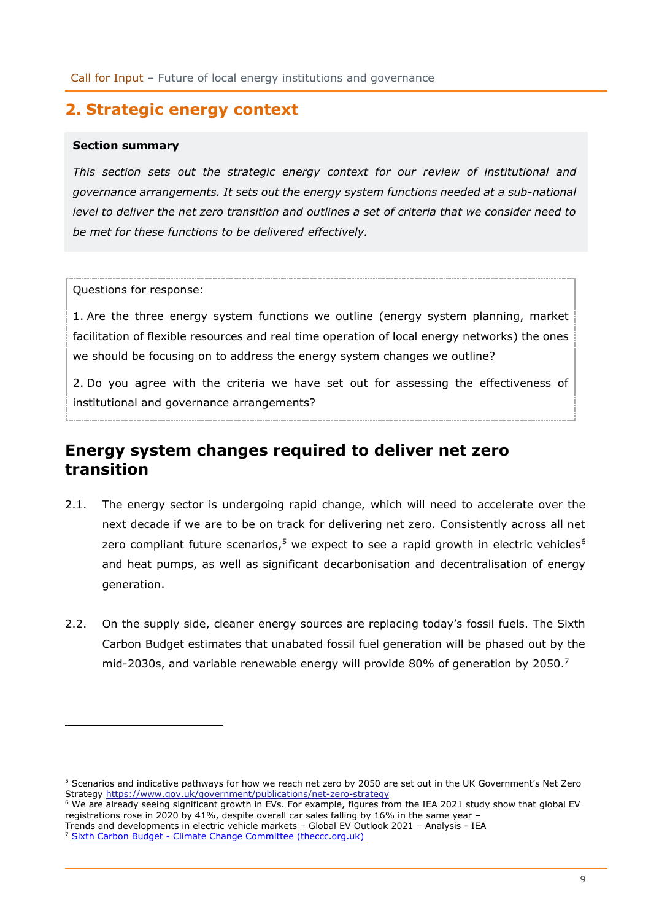# <span id="page-8-0"></span>**2. Strategic energy context**

#### **Section summary**

*This section sets out the strategic energy context for our review of institutional and governance arrangements. It sets out the energy system functions needed at a sub-national level to deliver the net zero transition and outlines a set of criteria that we consider need to be met for these functions to be delivered effectively.*

Questions for response:

1. Are the three energy system functions we outline (energy system planning, market facilitation of flexible resources and real time operation of local energy networks) the ones we should be focusing on to address the energy system changes we outline?

2. Do you agree with the criteria we have set out for assessing the effectiveness of institutional and governance arrangements?

# <span id="page-8-1"></span>**Energy system changes required to deliver net zero transition**

- 2.1. The energy sector is undergoing rapid change, which will need to accelerate over the next decade if we are to be on track for delivering net zero. Consistently across all net zero compliant future scenarios,<sup>5</sup> we expect to see a rapid growth in electric vehicles<sup>6</sup> and heat pumps, as well as significant decarbonisation and decentralisation of energy generation.
- 2.2. On the supply side, cleaner energy sources are replacing today's fossil fuels. The Sixth Carbon Budget estimates that unabated fossil fuel generation will be phased out by the mid-2030s, and variable renewable energy will provide 80% of generation by 2050.<sup>7</sup>

<sup>&</sup>lt;sup>5</sup> Scenarios and indicative pathways for how we reach net zero by 2050 are set out in the UK Government's Net Zero Strategy <https://www.gov.uk/government/publications/net-zero-strategy>

<sup>&</sup>lt;sup>6</sup> We are already seeing significant growth in EVs. For example, figures from the IEA 2021 study show that global EV registrations rose in 2020 by 41%, despite overall car sales falling by 16% in the same year –

[Trends and developments in electric vehicle markets](https://www.iea.org/reports/global-ev-outlook-2021/trends-and-developments-in-electric-vehicle-markets) – Global EV Outlook 2021 – Analysis - IEA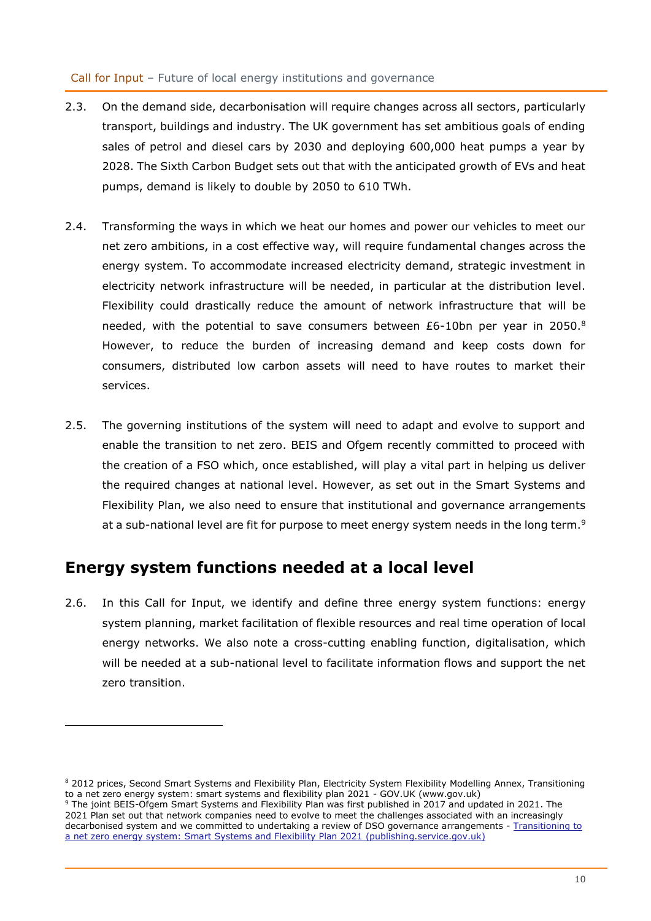- 2.3. On the demand side, decarbonisation will require changes across all sectors, particularly transport, buildings and industry. The UK government has set ambitious goals of ending sales of petrol and diesel cars by 2030 and deploying 600,000 heat pumps a year by 2028. The Sixth Carbon Budget sets out that with the anticipated growth of EVs and heat pumps, demand is likely to double by 2050 to 610 TWh.
- 2.4. Transforming the ways in which we heat our homes and power our vehicles to meet our net zero ambitions, in a cost effective way, will require fundamental changes across the energy system. To accommodate increased electricity demand, strategic investment in electricity network infrastructure will be needed, in particular at the distribution level. Flexibility could drastically reduce the amount of network infrastructure that will be needed, with the potential to save consumers between  $E6-10$ bn per year in 2050.<sup>8</sup> However, to reduce the burden of increasing demand and keep costs down for consumers, distributed low carbon assets will need to have routes to market their services.
- 2.5. The governing institutions of the system will need to adapt and evolve to support and enable the transition to net zero. BEIS and Ofgem recently committed to proceed with the creation of a FSO which, once established, will play a vital part in helping us deliver the required changes at national level. However, as set out in the Smart Systems and Flexibility Plan, we also need to ensure that institutional and governance arrangements at a sub-national level are fit for purpose to meet energy system needs in the long term.<sup>9</sup>

# <span id="page-9-0"></span>**Energy system functions needed at a local level**

2.6. In this Call for Input, we identify and define three energy system functions: energy system planning, market facilitation of flexible resources and real time operation of local energy networks. We also note a cross-cutting enabling function, digitalisation, which will be needed at a sub-national level to facilitate information flows and support the net zero transition.

<sup>8 2012</sup> prices, Second Smart Systems and Flexibility Plan, Electricity System Flexibility Modelling Annex, Transitioning to a net zero energy system: smart systems and flexibility plan 2021 - GOV.UK (www.gov.uk) <sup>9</sup> The joint BEIS-Ofgem Smart Systems and Flexibility Plan was first published in 2017 and updated in 2021. The 2021 Plan set out that network companies need to evolve to meet the challenges associated with an increasingly decarbonised system and we committed to undertaking a review of DSO governance arrangements - [Transitioning to](https://assets.publishing.service.gov.uk/government/uploads/system/uploads/attachment_data/file/1003778/smart-systems-and-flexibility-plan-2021.pdf)  [a net zero energy system: Smart Systems and Flexibility Plan 2021 \(publishing.service.gov.uk\)](https://assets.publishing.service.gov.uk/government/uploads/system/uploads/attachment_data/file/1003778/smart-systems-and-flexibility-plan-2021.pdf)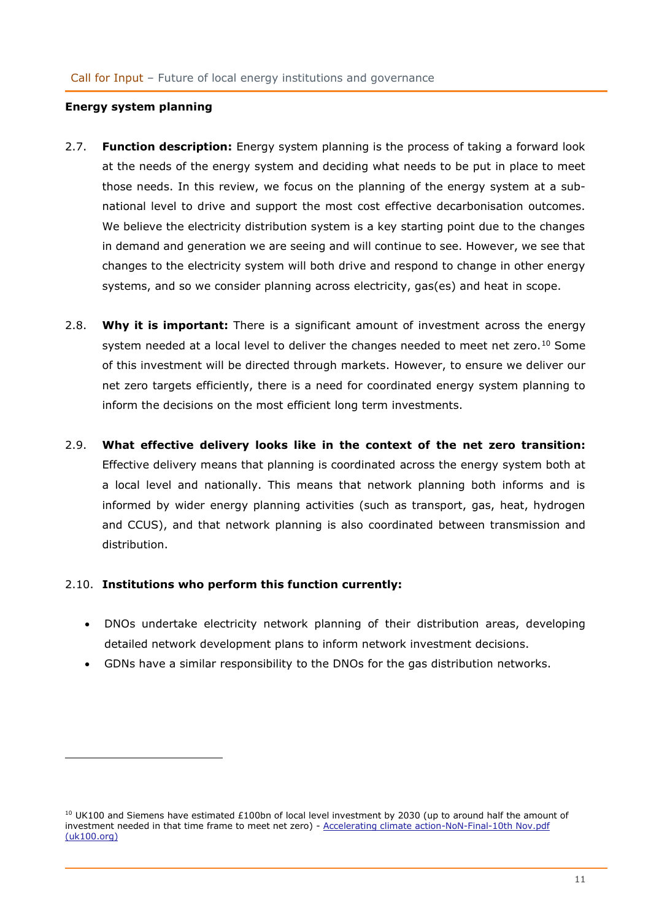#### **Energy system planning**

- 2.7. **Function description:** Energy system planning is the process of taking a forward look at the needs of the energy system and deciding what needs to be put in place to meet those needs. In this review, we focus on the planning of the energy system at a subnational level to drive and support the most cost effective decarbonisation outcomes. We believe the electricity distribution system is a key starting point due to the changes in demand and generation we are seeing and will continue to see. However, we see that changes to the electricity system will both drive and respond to change in other energy systems, and so we consider planning across electricity, gas(es) and heat in scope.
- 2.8. **Why it is important:** There is a significant amount of investment across the energy system needed at a local level to deliver the changes needed to meet net zero.<sup>10</sup> Some of this investment will be directed through markets. However, to ensure we deliver our net zero targets efficiently, there is a need for coordinated energy system planning to inform the decisions on the most efficient long term investments.
- 2.9. **What effective delivery looks like in the context of the net zero transition:** Effective delivery means that planning is coordinated across the energy system both at a local level and nationally. This means that network planning both informs and is informed by wider energy planning activities (such as transport, gas, heat, hydrogen and CCUS), and that network planning is also coordinated between transmission and distribution.

#### 2.10. **Institutions who perform this function currently:**

- DNOs undertake electricity network planning of their distribution areas, developing detailed network development plans to inform network investment decisions.
- GDNs have a similar responsibility to the DNOs for the gas distribution networks.

<sup>&</sup>lt;sup>10</sup> UK100 and Siemens have estimated £100bn of local level investment by 2030 (up to around half the amount of investment needed in that time frame to meet net zero) - [Accelerating climate action-NoN-Final-10th Nov.pdf](https://www.uk100.org/sites/default/files/publications/Accelerating%20climate%20action-NoN-Final-10th%20Nov.pdf)  [\(uk100.org\)](https://www.uk100.org/sites/default/files/publications/Accelerating%20climate%20action-NoN-Final-10th%20Nov.pdf)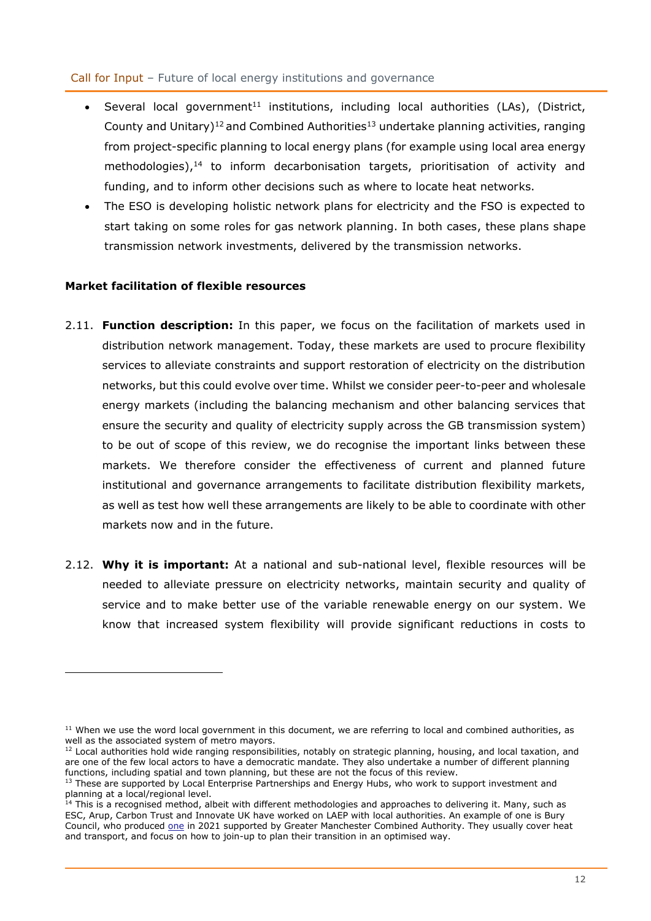- Several local government<sup>11</sup> institutions, including local authorities (LAs), (District, County and Unitary)<sup>12</sup> and Combined Authorities<sup>13</sup> undertake planning activities, ranging from project-specific planning to local energy plans (for example using local area energy methodologies), <sup>14</sup> to inform decarbonisation targets, prioritisation of activity and funding, and to inform other decisions such as where to locate heat networks.
- The ESO is developing holistic network plans for electricity and the FSO is expected to start taking on some roles for gas network planning. In both cases, these plans shape transmission network investments, delivered by the transmission networks.

#### **Market facilitation of flexible resources**

- 2.11. **Function description:** In this paper, we focus on the facilitation of markets used in distribution network management. Today, these markets are used to procure flexibility services to alleviate constraints and support restoration of electricity on the distribution networks, but this could evolve over time. Whilst we consider peer-to-peer and wholesale energy markets (including the balancing mechanism and other balancing services that ensure the security and quality of electricity supply across the GB transmission system) to be out of scope of this review, we do recognise the important links between these markets. We therefore consider the effectiveness of current and planned future institutional and governance arrangements to facilitate distribution flexibility markets, as well as test how well these arrangements are likely to be able to coordinate with other markets now and in the future.
- 2.12. **Why it is important:** At a national and sub-national level, flexible resources will be needed to alleviate pressure on electricity networks, maintain security and quality of service and to make better use of the variable renewable energy on our system. We know that increased system flexibility will provide significant reductions in costs to

 $11$  When we use the word local government in this document, we are referring to local and combined authorities, as well as the associated system of metro mayors.

<sup>12</sup> Local authorities hold wide ranging responsibilities, notably on strategic planning, housing, and local taxation, and are one of the few local actors to have a democratic mandate. They also undertake a number of different planning functions, including spatial and town planning, but these are not the focus of this review.

<sup>&</sup>lt;sup>13</sup> These are supported by Local Enterprise Partnerships and Energy Hubs, who work to support investment and planning at a local/regional level.

 $14$  This is a recognised method, albeit with different methodologies and approaches to delivering it. Many, such as ESC, Arup, Carbon Trust and Innovate UK have worked on LAEP with local authorities. An example of one is Bury Council, who produced [one](https://democracy.greatermanchester-ca.gov.uk/mgConvert2PDF.aspx?ID=15767) in 2021 supported by Greater Manchester Combined Authority. They usually cover heat and transport, and focus on how to join-up to plan their transition in an optimised way.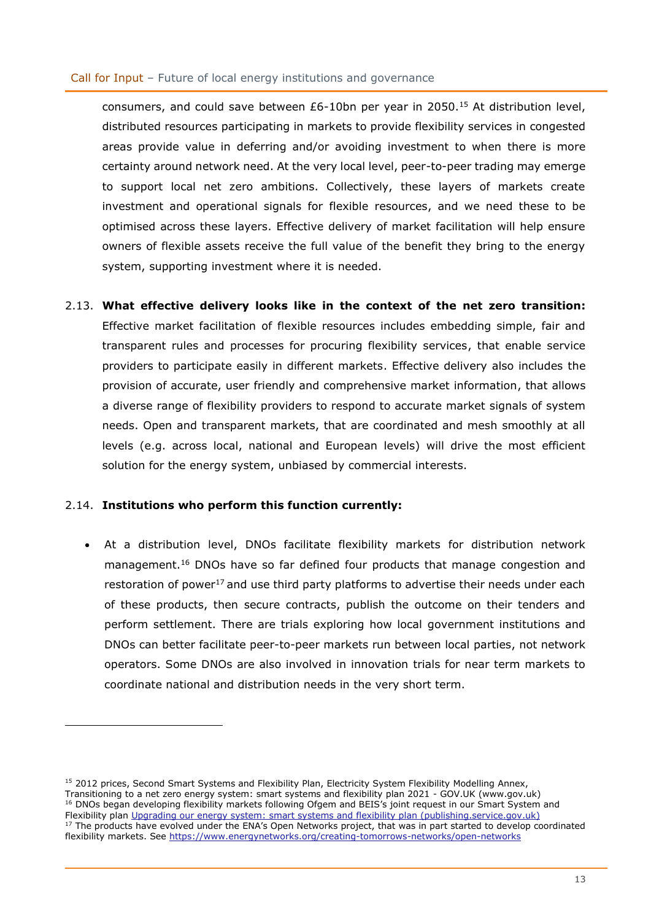consumers, and could save between £6-10bn per year in 2050.<sup>15</sup> At distribution level, distributed resources participating in markets to provide flexibility services in congested areas provide value in deferring and/or avoiding investment to when there is more certainty around network need. At the very local level, peer-to-peer trading may emerge to support local net zero ambitions. Collectively, these layers of markets create investment and operational signals for flexible resources, and we need these to be optimised across these layers. Effective delivery of market facilitation will help ensure owners of flexible assets receive the full value of the benefit they bring to the energy system, supporting investment where it is needed.

2.13. **What effective delivery looks like in the context of the net zero transition:** Effective market facilitation of flexible resources includes embedding simple, fair and transparent rules and processes for procuring flexibility services, that enable service providers to participate easily in different markets. Effective delivery also includes the provision of accurate, user friendly and comprehensive market information, that allows a diverse range of flexibility providers to respond to accurate market signals of system needs. Open and transparent markets, that are coordinated and mesh smoothly at all levels (e.g. across local, national and European levels) will drive the most efficient solution for the energy system, unbiased by commercial interests.

### 2.14. **Institutions who perform this function currently:**

At a distribution level, DNOs facilitate flexibility markets for distribution network management.<sup>16</sup> DNOs have so far defined four products that manage congestion and restoration of power<sup>17</sup> and use third party platforms to advertise their needs under each of these products, then secure contracts, publish the outcome on their tenders and perform settlement. There are trials exploring how local government institutions and DNOs can better facilitate peer-to-peer markets run between local parties, not network operators. Some DNOs are also involved in innovation trials for near term markets to coordinate national and distribution needs in the very short term.

<sup>&</sup>lt;sup>15</sup> 2012 prices, Second Smart Systems and Flexibility Plan, Electricity System Flexibility Modelling Annex, [Transitioning to a net zero energy system: smart systems and flexibility plan 2021 -](https://www.gov.uk/government/publications/transitioning-to-a-net-zero-energy-system-smart-systems-and-flexibility-plan-2021) GOV.UK (www.gov.uk) <sup>16</sup> DNOs began developing flexibility markets following Ofgem and BEIS's joint request in our Smart System and Flexibility plan [Upgrading our energy system: smart systems and flexibility plan \(publishing.service.gov.uk\)](https://assets.publishing.service.gov.uk/government/uploads/system/uploads/attachment_data/file/633442/upgrading-our-energy-system-july-2017.pdf) <sup>17</sup> The products have evolved under the ENA's Open Networks project, that was in part started to develop coordinated flexibility markets. See<https://www.energynetworks.org/creating-tomorrows-networks/open-networks>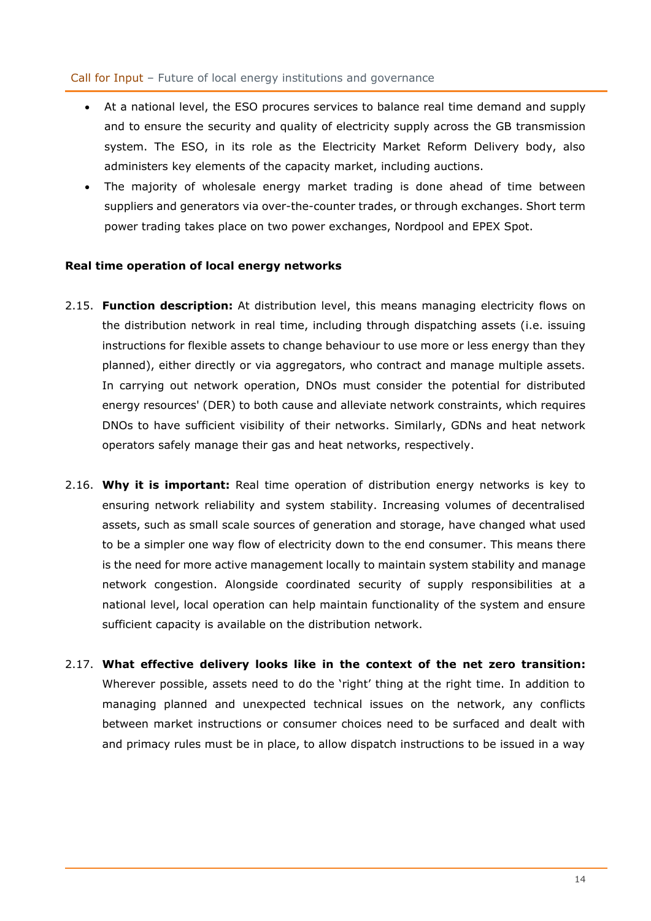- At a national level, the ESO procures services to balance real time demand and supply and to ensure the security and quality of electricity supply across the GB transmission system. The ESO, in its role as the Electricity Market Reform Delivery body, also administers key elements of the capacity market, including auctions.
- The majority of wholesale energy market trading is done ahead of time between suppliers and generators via over-the-counter trades, or through exchanges. Short term power trading takes place on two power exchanges, Nordpool and EPEX Spot.

### **Real time operation of local energy networks**

- 2.15. **Function description:** At distribution level, this means managing electricity flows on the distribution network in real time, including through dispatching assets (i.e. issuing instructions for flexible assets to change behaviour to use more or less energy than they planned), either directly or via aggregators, who contract and manage multiple assets. In carrying out network operation, DNOs must consider the potential for distributed energy resources' (DER) to both cause and alleviate network constraints, which requires DNOs to have sufficient visibility of their networks. Similarly, GDNs and heat network operators safely manage their gas and heat networks, respectively.
- 2.16. **Why it is important:** Real time operation of distribution energy networks is key to ensuring network reliability and system stability. Increasing volumes of decentralised assets, such as small scale sources of generation and storage, have changed what used to be a simpler one way flow of electricity down to the end consumer. This means there is the need for more active management locally to maintain system stability and manage network congestion. Alongside coordinated security of supply responsibilities at a national level, local operation can help maintain functionality of the system and ensure sufficient capacity is available on the distribution network.
- 2.17. **What effective delivery looks like in the context of the net zero transition:** Wherever possible, assets need to do the 'right' thing at the right time. In addition to managing planned and unexpected technical issues on the network, any conflicts between market instructions or consumer choices need to be surfaced and dealt with and primacy rules must be in place, to allow dispatch instructions to be issued in a way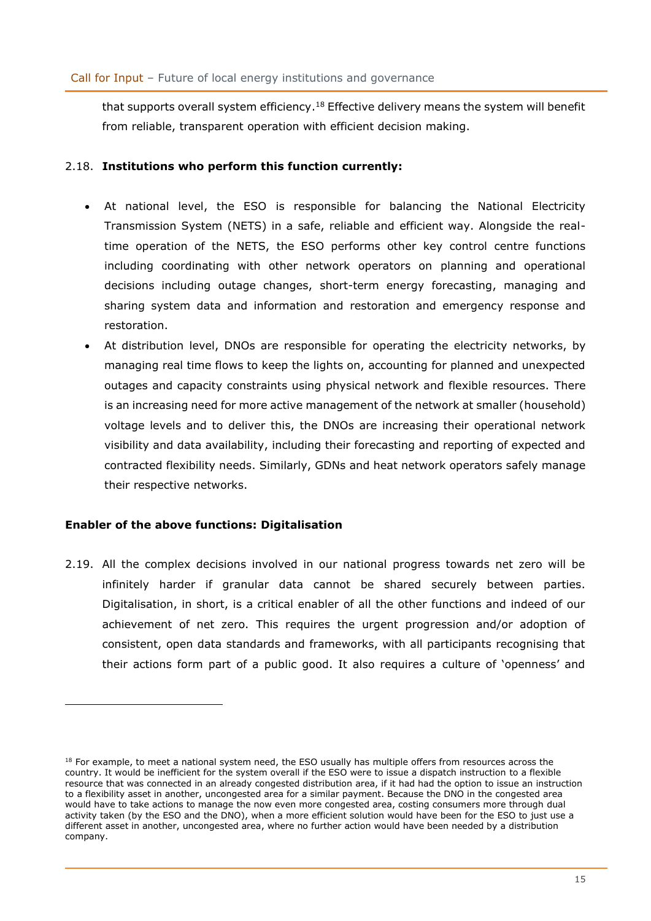that supports overall system efficiency.<sup>18</sup> Effective delivery means the system will benefit from reliable, transparent operation with efficient decision making.

## 2.18. **Institutions who perform this function currently:**

- At national level, the ESO is responsible for balancing the National Electricity Transmission System (NETS) in a safe, reliable and efficient way. Alongside the realtime operation of the NETS, the ESO performs other key control centre functions including coordinating with other network operators on planning and operational decisions including outage changes, short-term energy forecasting, managing and sharing system data and information and restoration and emergency response and restoration.
- At distribution level, DNOs are responsible for operating the electricity networks, by managing real time flows to keep the lights on, accounting for planned and unexpected outages and capacity constraints using physical network and flexible resources. There is an increasing need for more active management of the network at smaller (household) voltage levels and to deliver this, the DNOs are increasing their operational network visibility and data availability, including their forecasting and reporting of expected and contracted flexibility needs. Similarly, GDNs and heat network operators safely manage their respective networks.

## **Enabler of the above functions: Digitalisation**

2.19. All the complex decisions involved in our national progress towards net zero will be infinitely harder if granular data cannot be shared securely between parties. Digitalisation, in short, is a critical enabler of all the other functions and indeed of our achievement of net zero. This requires the urgent progression and/or adoption of consistent, open data standards and frameworks, with all participants recognising that their actions form part of a public good. It also requires a culture of 'openness' and

<sup>18</sup> For example, to meet a national system need, the ESO usually has multiple offers from resources across the country. It would be inefficient for the system overall if the ESO were to issue a dispatch instruction to a flexible resource that was connected in an already congested distribution area, if it had had the option to issue an instruction to a flexibility asset in another, uncongested area for a similar payment. Because the DNO in the congested area would have to take actions to manage the now even more congested area, costing consumers more through dual activity taken (by the ESO and the DNO), when a more efficient solution would have been for the ESO to just use a different asset in another, uncongested area, where no further action would have been needed by a distribution company.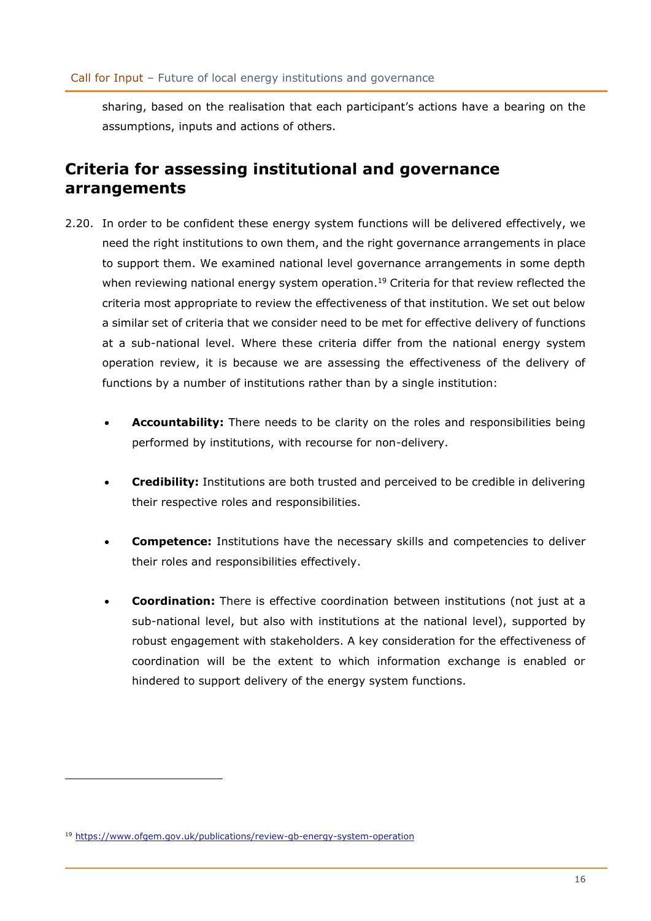sharing, based on the realisation that each participant's actions have a bearing on the assumptions, inputs and actions of others.

# <span id="page-15-0"></span>**Criteria for assessing institutional and governance arrangements**

- 2.20. In order to be confident these energy system functions will be delivered effectively, we need the right institutions to own them, and the right governance arrangements in place to support them. We examined national level governance arrangements in some depth when reviewing national energy system operation.<sup>19</sup> Criteria for that review reflected the criteria most appropriate to review the effectiveness of that institution. We set out below a similar set of criteria that we consider need to be met for effective delivery of functions at a sub-national level. Where these criteria differ from the national energy system operation review, it is because we are assessing the effectiveness of the delivery of functions by a number of institutions rather than by a single institution:
	- Accountability: There needs to be clarity on the roles and responsibilities being performed by institutions, with recourse for non-delivery.
	- **Credibility:** Institutions are both trusted and perceived to be credible in delivering their respective roles and responsibilities.
	- **Competence:** Institutions have the necessary skills and competencies to deliver their roles and responsibilities effectively.
	- **Coordination:** There is effective coordination between institutions (not just at a sub-national level, but also with institutions at the national level), supported by robust engagement with stakeholders. A key consideration for the effectiveness of coordination will be the extent to which information exchange is enabled or hindered to support delivery of the energy system functions.

<sup>19</sup> <https://www.ofgem.gov.uk/publications/review-gb-energy-system-operation>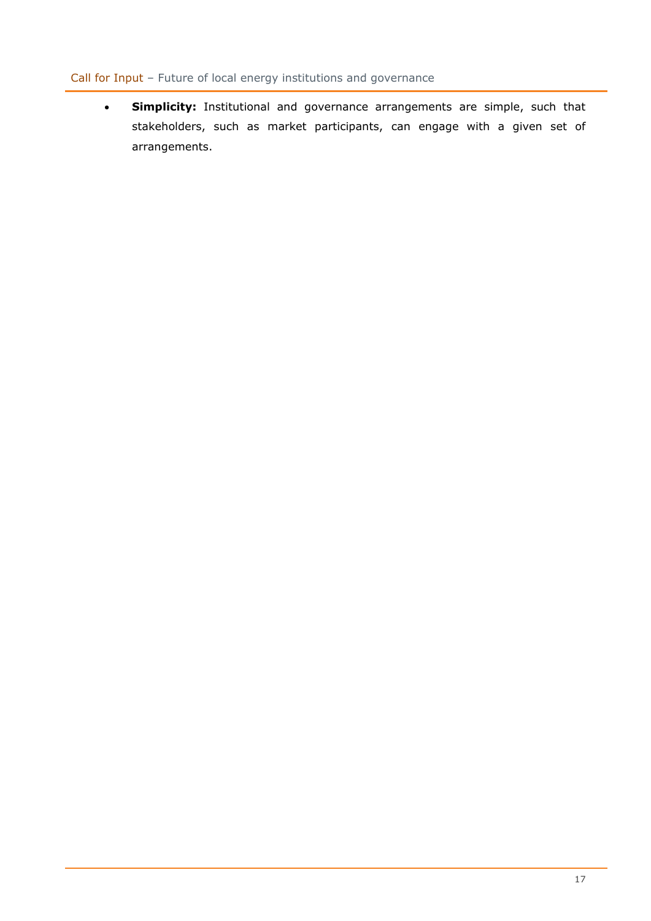• **Simplicity:** Institutional and governance arrangements are simple, such that stakeholders, such as market participants, can engage with a given set of arrangements.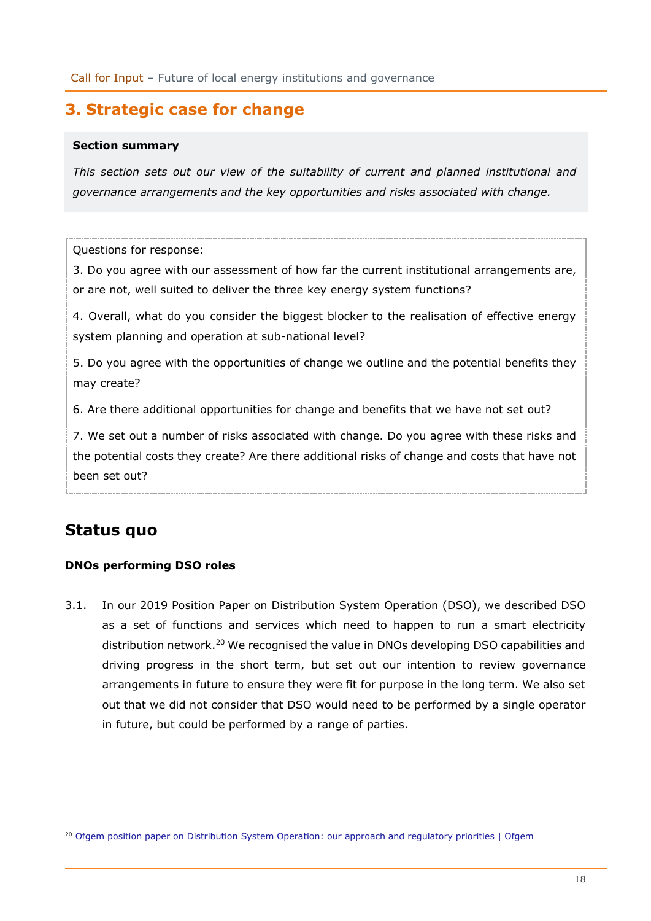# <span id="page-17-0"></span>**3. Strategic case for change**

#### **Section summary**

*This section sets out our view of the suitability of current and planned institutional and governance arrangements and the key opportunities and risks associated with change.*

Questions for response:

3. Do you agree with our assessment of how far the current institutional arrangements are, or are not, well suited to deliver the three key energy system functions?

4. Overall, what do you consider the biggest blocker to the realisation of effective energy system planning and operation at sub-national level?

5. Do you agree with the opportunities of change we outline and the potential benefits they may create?

6. Are there additional opportunities for change and benefits that we have not set out?

7. We set out a number of risks associated with change. Do you agree with these risks and the potential costs they create? Are there additional risks of change and costs that have not been set out?

# <span id="page-17-1"></span>**Status quo**

### **DNOs performing DSO roles**

3.1. In our 2019 Position Paper on Distribution System Operation (DSO), we described DSO as a set of functions and services which need to happen to run a smart electricity distribution network.<sup>20</sup> We recognised the value in DNOs developing DSO capabilities and driving progress in the short term, but set out our intention to review governance arrangements in future to ensure they were fit for purpose in the long term. We also set out that we did not consider that DSO would need to be performed by a single operator in future, but could be performed by a range of parties.

<sup>&</sup>lt;sup>20</sup> [Ofgem position paper on Distribution System Operation: our approach and regulatory priorities | Ofgem](https://www.ofgem.gov.uk/publications/ofgem-position-paper-distribution-system-operation-our-approach-and-regulatory-priorities)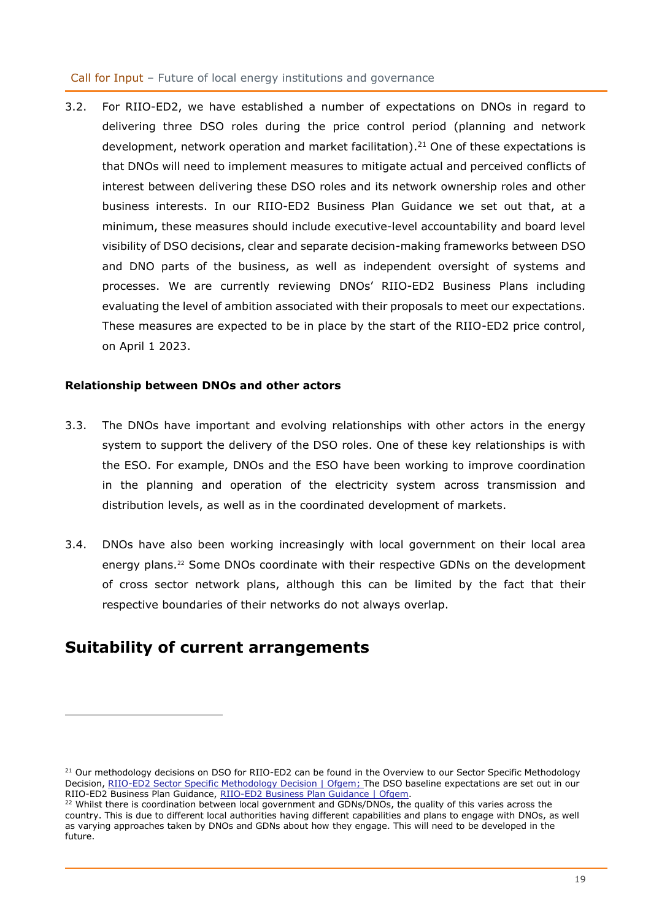3.2. For RIIO-ED2, we have established a number of expectations on DNOs in regard to delivering three DSO roles during the price control period (planning and network development, network operation and market facilitation).<sup>21</sup> One of these expectations is that DNOs will need to implement measures to mitigate actual and perceived conflicts of interest between delivering these DSO roles and its network ownership roles and other business interests. In our RIIO-ED2 Business Plan Guidance we set out that, at a minimum, these measures should include executive-level accountability and board level visibility of DSO decisions, clear and separate decision-making frameworks between DSO and DNO parts of the business, as well as independent oversight of systems and processes. We are currently reviewing DNOs' RIIO-ED2 Business Plans including evaluating the level of ambition associated with their proposals to meet our expectations. These measures are expected to be in place by the start of the RIIO-ED2 price control, on April 1 2023.

### **Relationship between DNOs and other actors**

- 3.3. The DNOs have important and evolving relationships with other actors in the energy system to support the delivery of the DSO roles. One of these key relationships is with the ESO. For example, DNOs and the ESO have been working to improve coordination in the planning and operation of the electricity system across transmission and distribution levels, as well as in the coordinated development of markets.
- 3.4. DNOs have also been working increasingly with local government on their local area energy plans. <sup>22</sup> Some DNOs coordinate with their respective GDNs on the development of cross sector network plans, although this can be limited by the fact that their respective boundaries of their networks do not always overlap.

# <span id="page-18-0"></span>**Suitability of current arrangements**

<sup>&</sup>lt;sup>21</sup> Our methodology decisions on DSO for RIIO-ED2 can be found in the Overview to our Sector Specific Methodology Decision, [RIIO-ED2 Sector Specific Methodology](https://www.ofgem.gov.uk/publications/riio-ed2-sector-specific-methodology-decision) Decision | Ofgem; The DSO baseline expectations are set out in our RIIO-ED2 Business Plan Guidance, [RIIO-ED2 Business Plan Guidance | Ofgem.](https://www.ofgem.gov.uk/publications/riio-ed2-business-plan-guidance)

<sup>&</sup>lt;sup>22</sup> Whilst there is coordination between local government and GDNs/DNOs, the quality of this varies across the country. This is due to different local authorities having different capabilities and plans to engage with DNOs, as well as varying approaches taken by DNOs and GDNs about how they engage. This will need to be developed in the future.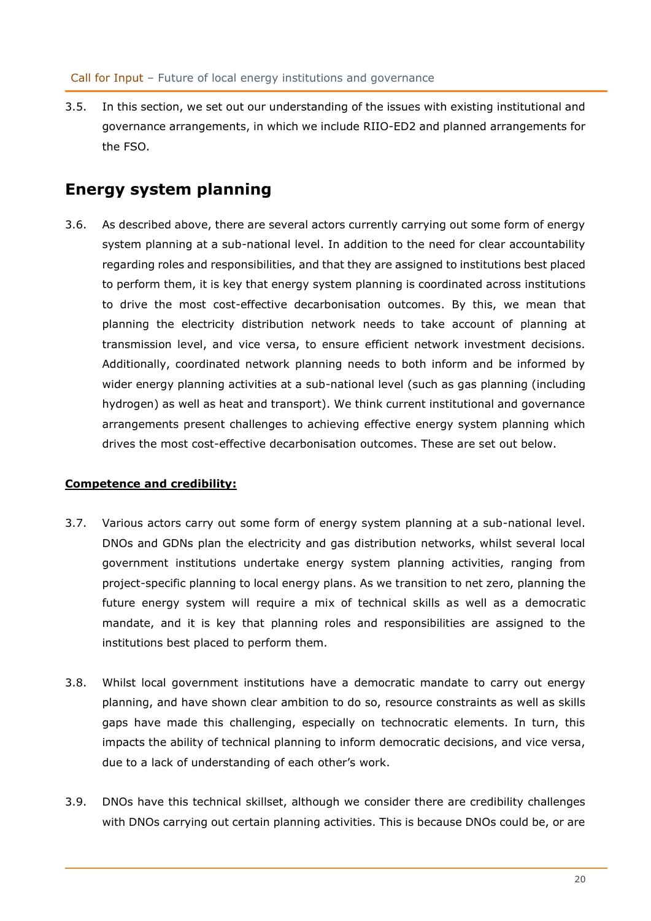3.5. In this section, we set out our understanding of the issues with existing institutional and governance arrangements, in which we include RIIO-ED2 and planned arrangements for the FSO.

# <span id="page-19-0"></span>**Energy system planning**

3.6. As described above, there are several actors currently carrying out some form of energy system planning at a sub-national level. In addition to the need for clear accountability regarding roles and responsibilities, and that they are assigned to institutions best placed to perform them, it is key that energy system planning is coordinated across institutions to drive the most cost-effective decarbonisation outcomes. By this, we mean that planning the electricity distribution network needs to take account of planning at transmission level, and vice versa, to ensure efficient network investment decisions. Additionally, coordinated network planning needs to both inform and be informed by wider energy planning activities at a sub-national level (such as gas planning (including hydrogen) as well as heat and transport). We think current institutional and governance arrangements present challenges to achieving effective energy system planning which drives the most cost-effective decarbonisation outcomes. These are set out below.

## **Competence and credibility:**

- 3.7. Various actors carry out some form of energy system planning at a sub-national level. DNOs and GDNs plan the electricity and gas distribution networks, whilst several local government institutions undertake energy system planning activities, ranging from project-specific planning to local energy plans. As we transition to net zero, planning the future energy system will require a mix of technical skills as well as a democratic mandate, and it is key that planning roles and responsibilities are assigned to the institutions best placed to perform them.
- 3.8. Whilst local government institutions have a democratic mandate to carry out energy planning, and have shown clear ambition to do so, resource constraints as well as skills gaps have made this challenging, especially on technocratic elements. In turn, this impacts the ability of technical planning to inform democratic decisions, and vice versa, due to a lack of understanding of each other's work.
- 3.9. DNOs have this technical skillset, although we consider there are credibility challenges with DNOs carrying out certain planning activities. This is because DNOs could be, or are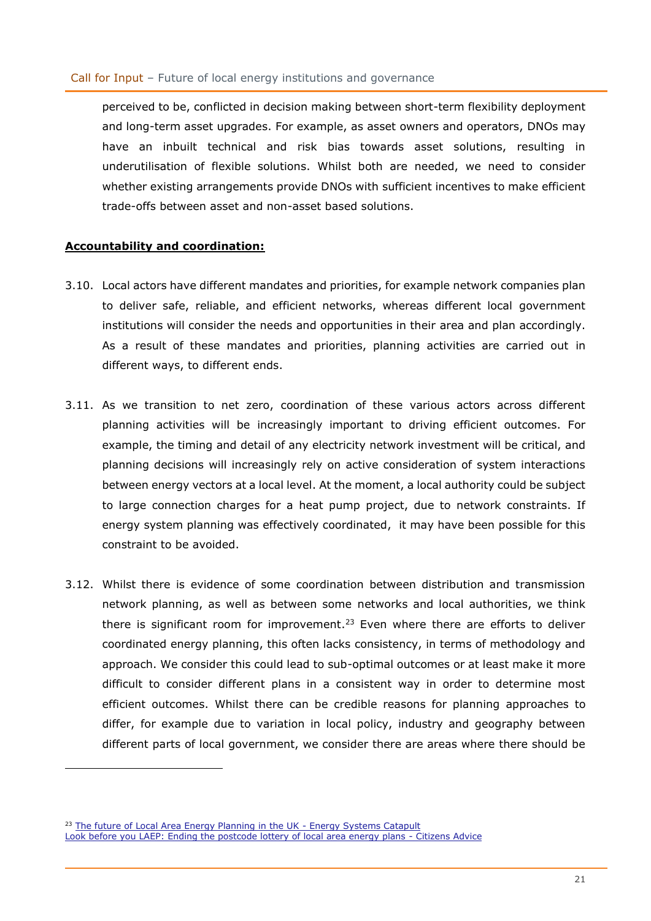perceived to be, conflicted in decision making between short-term flexibility deployment and long-term asset upgrades. For example, as asset owners and operators, DNOs may have an inbuilt technical and risk bias towards asset solutions, resulting in underutilisation of flexible solutions. Whilst both are needed, we need to consider whether existing arrangements provide DNOs with sufficient incentives to make efficient trade-offs between asset and non-asset based solutions.

#### **Accountability and coordination:**

- 3.10. Local actors have different mandates and priorities, for example network companies plan to deliver safe, reliable, and efficient networks, whereas different local government institutions will consider the needs and opportunities in their area and plan accordingly. As a result of these mandates and priorities, planning activities are carried out in different ways, to different ends.
- 3.11. As we transition to net zero, coordination of these various actors across different planning activities will be increasingly important to driving efficient outcomes. For example, the timing and detail of any electricity network investment will be critical, and planning decisions will increasingly rely on active consideration of system interactions between energy vectors at a local level. At the moment, a local authority could be subject to large connection charges for a heat pump project, due to network constraints. If energy system planning was effectively coordinated, it may have been possible for this constraint to be avoided.
- 3.12. Whilst there is evidence of some coordination between distribution and transmission network planning, as well as between some networks and local authorities, we think there is significant room for improvement.<sup>23</sup> Even where there are efforts to deliver coordinated energy planning, this often lacks consistency, in terms of methodology and approach. We consider this could lead to sub-optimal outcomes or at least make it more difficult to consider different plans in a consistent way in order to determine most efficient outcomes. Whilst there can be credible reasons for planning approaches to differ, for example due to variation in local policy, industry and geography between different parts of local government, we consider there are areas where there should be

<sup>&</sup>lt;sup>23</sup> [The future of Local Area Energy Planning in the UK -](https://es.catapult.org.uk/report/the-future-of-local-area-energy-planning-in-the-uk/) Energy Systems Catapult [Look before you LAEP: Ending the postcode lottery of local area energy plans -](https://www.citizensadvice.org.uk/about-us/our-work/policy/policy-research-topics/energy-policy-research-and-consultation-responses/energy-policy-research/look-before-you-laep-ending-the-postcode-lottery-of-local-area-energy-plans/) Citizens Advice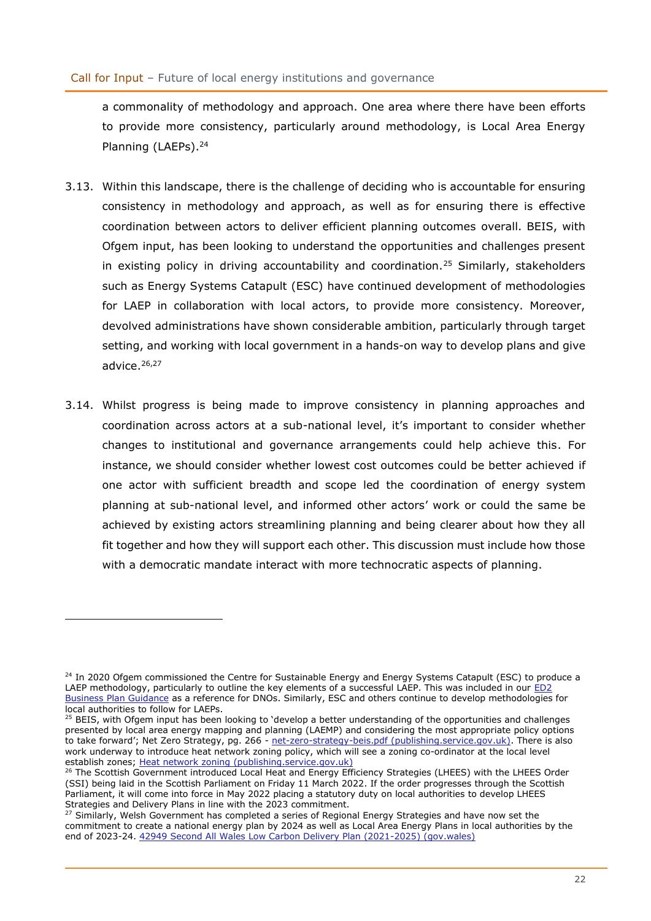a commonality of methodology and approach. One area where there have been efforts to provide more consistency, particularly around methodology, is Local Area Energy Planning (LAEPs).<sup>24</sup>

- 3.13. Within this landscape, there is the challenge of deciding who is accountable for ensuring consistency in methodology and approach, as well as for ensuring there is effective coordination between actors to deliver efficient planning outcomes overall. BEIS, with Ofgem input, has been looking to understand the opportunities and challenges present in existing policy in driving accountability and coordination.<sup>25</sup> Similarly, stakeholders such as Energy Systems Catapult (ESC) have continued development of methodologies for LAEP in collaboration with local actors, to provide more consistency. Moreover, devolved administrations have shown considerable ambition, particularly through target setting, and working with local government in a hands-on way to develop plans and give advice.<sup>26,27</sup>
- 3.14. Whilst progress is being made to improve consistency in planning approaches and coordination across actors at a sub-national level, it's important to consider whether changes to institutional and governance arrangements could help achieve this. For instance, we should consider whether lowest cost outcomes could be better achieved if one actor with sufficient breadth and scope led the coordination of energy system planning at sub-national level, and informed other actors' work or could the same be achieved by existing actors streamlining planning and being clearer about how they all fit together and how they will support each other. This discussion must include how those with a democratic mandate interact with more technocratic aspects of planning.

<sup>&</sup>lt;sup>24</sup> In 2020 Ofgem commissioned the Centre for Sustainable Energy and Energy Systems Catapult (ESC) to produce a LAEP methodology, particularly to outline the key elements of a successful LAEP. This was included in our [ED2](https://www.ofgem.gov.uk/publications/riio-ed2-business-plan-guidance)  [Business Plan Guidance](https://www.ofgem.gov.uk/publications/riio-ed2-business-plan-guidance) as a reference for DNOs. Similarly, ESC and others continue to develop methodologies for local authorities to follow for LAEPs.

<sup>&</sup>lt;sup>25</sup> BEIS, with Ofgem input has been looking to 'develop a better understanding of the opportunities and challenges presented by local area energy mapping and planning (LAEMP) and considering the most appropriate policy options to take forward'; Net Zero Strategy, pg. 266 - [net-zero-strategy-beis.pdf \(publishing.service.gov.uk\).](https://assets.publishing.service.gov.uk/government/uploads/system/uploads/attachment_data/file/1033990/net-zero-strategy-beis.pdf) There is also work underway to introduce heat network zoning policy, which will see a zoning co-ordinator at the local level establish zones; [Heat network zoning \(publishing.service.gov.uk\)](https://assets.publishing.service.gov.uk/government/uploads/system/uploads/attachment_data/file/1024216/heat-network-zoning-consultation.pdf)

<sup>&</sup>lt;sup>26</sup> The Scottish Government introduced Local Heat and Energy Efficiency Strategies (LHEES) with the LHEES Order (SSI) being laid in the Scottish Parliament on Friday 11 March 2022. If the order progresses through the Scottish Parliament, it will come into force in May 2022 placing a statutory duty on local authorities to develop LHEES Strategies and Delivery Plans in line with the 2023 commitment.

<sup>&</sup>lt;sup>27</sup> Similarly, Welsh Government has completed a series of Regional Energy Strategies and have now set the commitment to create a national energy plan by 2024 as well as Local Area Energy Plans in local authorities by the end of 2023-24. [42949 Second All Wales Low Carbon Delivery Plan \(2021-2025\) \(gov.wales\)](https://eur02.safelinks.protection.outlook.com/?url=https%3A%2F%2Fgov.wales%2Fsites%2Fdefault%2Ffiles%2Fpublications%2F2021-10%2Fnet-zero-wales-carbon-budget-2-2021-25.pdf&data=04%7C01%7CVictoria.Low%40ofgem.gov.uk%7Cf53ffd6ffb534aed76b108da1c9906f2%7C185562ad39bc48408e40be6216340c52%7C0%7C0%7C637853740808018787%7CUnknown%7CTWFpbGZsb3d8eyJWIjoiMC4wLjAwMDAiLCJQIjoiV2luMzIiLCJBTiI6Ik1haWwiLCJXVCI6Mn0%3D%7C3000&sdata=VtBWCQwjsTFzMuc4CwE6%2FT5tSz6HS5tYMgCb8fbuUBA%3D&reserved=0)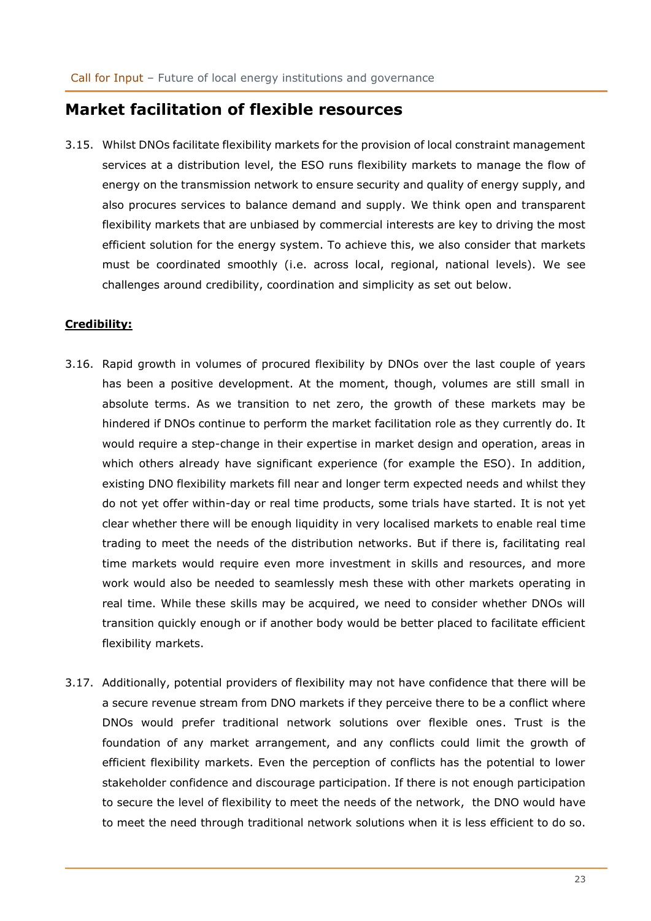## <span id="page-22-0"></span>**Market facilitation of flexible resources**

3.15. Whilst DNOs facilitate flexibility markets for the provision of local constraint management services at a distribution level, the ESO runs flexibility markets to manage the flow of energy on the transmission network to ensure security and quality of energy supply, and also procures services to balance demand and supply. We think open and transparent flexibility markets that are unbiased by commercial interests are key to driving the most efficient solution for the energy system. To achieve this, we also consider that markets must be coordinated smoothly (i.e. across local, regional, national levels). We see challenges around credibility, coordination and simplicity as set out below.

### **Credibility:**

- 3.16. Rapid growth in volumes of procured flexibility by DNOs over the last couple of years has been a positive development. At the moment, though, volumes are still small in absolute terms. As we transition to net zero, the growth of these markets may be hindered if DNOs continue to perform the market facilitation role as they currently do. It would require a step-change in their expertise in market design and operation, areas in which others already have significant experience (for example the ESO). In addition, existing DNO flexibility markets fill near and longer term expected needs and whilst they do not yet offer within-day or real time products, some trials have started. It is not yet clear whether there will be enough liquidity in very localised markets to enable real time trading to meet the needs of the distribution networks. But if there is, facilitating real time markets would require even more investment in skills and resources, and more work would also be needed to seamlessly mesh these with other markets operating in real time. While these skills may be acquired, we need to consider whether DNOs will transition quickly enough or if another body would be better placed to facilitate efficient flexibility markets.
- 3.17. Additionally, potential providers of flexibility may not have confidence that there will be a secure revenue stream from DNO markets if they perceive there to be a conflict where DNOs would prefer traditional network solutions over flexible ones. Trust is the foundation of any market arrangement, and any conflicts could limit the growth of efficient flexibility markets. Even the perception of conflicts has the potential to lower stakeholder confidence and discourage participation. If there is not enough participation to secure the level of flexibility to meet the needs of the network, the DNO would have to meet the need through traditional network solutions when it is less efficient to do so.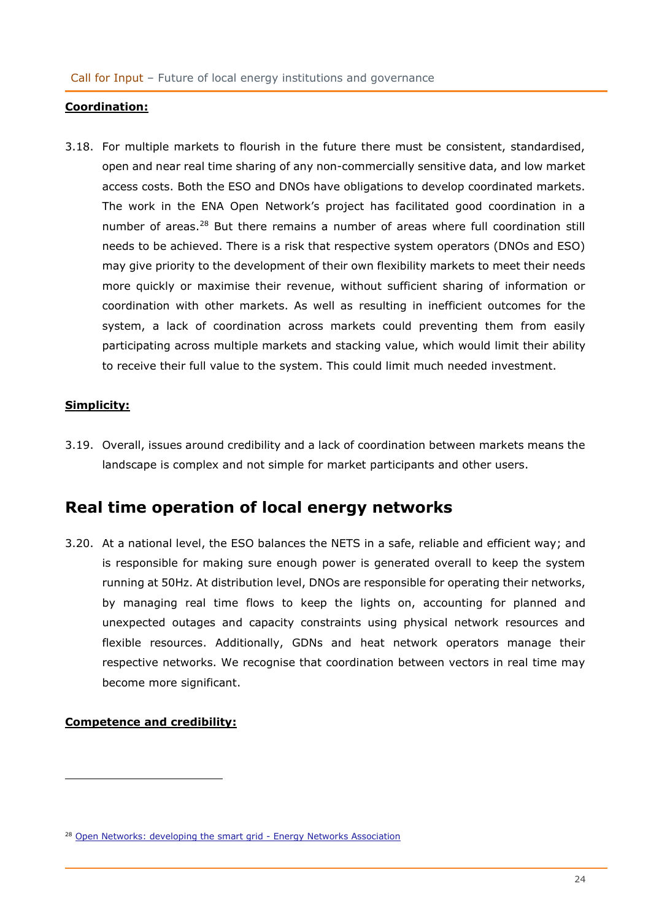#### **Coordination:**

3.18. For multiple markets to flourish in the future there must be consistent, standardised, open and near real time sharing of any non-commercially sensitive data, and low market access costs. Both the ESO and DNOs have obligations to develop coordinated markets. The work in the ENA Open Network's project has facilitated good coordination in a number of areas.<sup>28</sup> But there remains a number of areas where full coordination still needs to be achieved. There is a risk that respective system operators (DNOs and ESO) may give priority to the development of their own flexibility markets to meet their needs more quickly or maximise their revenue, without sufficient sharing of information or coordination with other markets. As well as resulting in inefficient outcomes for the system, a lack of coordination across markets could preventing them from easily participating across multiple markets and stacking value, which would limit their ability to receive their full value to the system. This could limit much needed investment.

### **Simplicity:**

3.19. Overall, issues around credibility and a lack of coordination between markets means the landscape is complex and not simple for market participants and other users.

# <span id="page-23-0"></span>**Real time operation of local energy networks**

3.20. At a national level, the ESO balances the NETS in a safe, reliable and efficient way; and is responsible for making sure enough power is generated overall to keep the system running at 50Hz. At distribution level, DNOs are responsible for operating their networks, by managing real time flows to keep the lights on, accounting for planned and unexpected outages and capacity constraints using physical network resources and flexible resources. Additionally, GDNs and heat network operators manage their respective networks. We recognise that coordination between vectors in real time may become more significant.

### **Competence and credibility:**

<sup>&</sup>lt;sup>28</sup> [Open Networks: developing the smart grid -](https://www.energynetworks.org/creating-tomorrows-networks/open-networks/) Energy Networks Association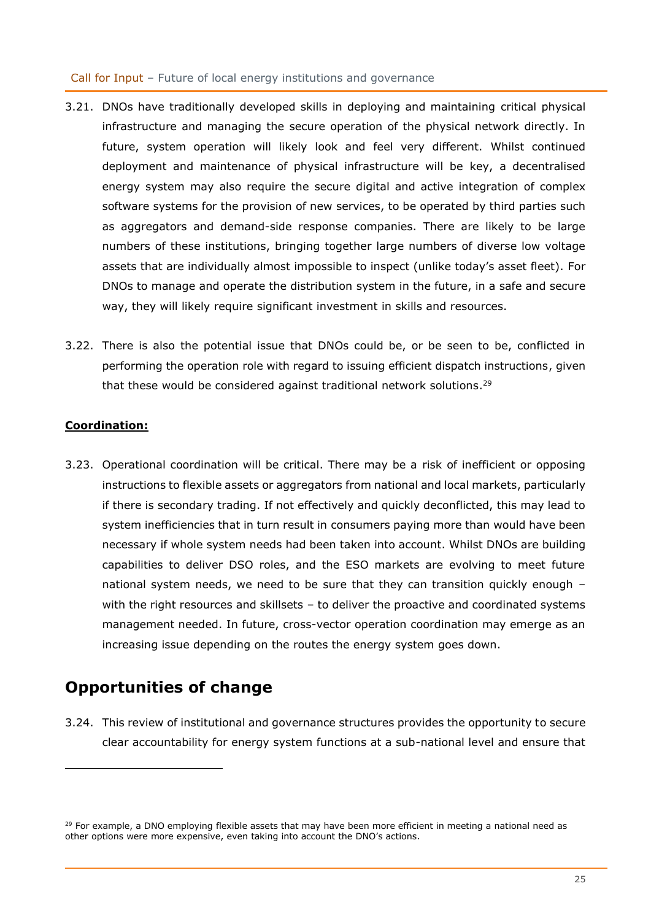- 3.21. DNOs have traditionally developed skills in deploying and maintaining critical physical infrastructure and managing the secure operation of the physical network directly. In future, system operation will likely look and feel very different. Whilst continued deployment and maintenance of physical infrastructure will be key, a decentralised energy system may also require the secure digital and active integration of complex software systems for the provision of new services, to be operated by third parties such as aggregators and demand-side response companies. There are likely to be large numbers of these institutions, bringing together large numbers of diverse low voltage assets that are individually almost impossible to inspect (unlike today's asset fleet). For DNOs to manage and operate the distribution system in the future, in a safe and secure way, they will likely require significant investment in skills and resources.
- 3.22. There is also the potential issue that DNOs could be, or be seen to be, conflicted in performing the operation role with regard to issuing efficient dispatch instructions, given that these would be considered against traditional network solutions.<sup>29</sup>

## **Coordination:**

3.23. Operational coordination will be critical. There may be a risk of inefficient or opposing instructions to flexible assets or aggregators from national and local markets, particularly if there is secondary trading. If not effectively and quickly deconflicted, this may lead to system inefficiencies that in turn result in consumers paying more than would have been necessary if whole system needs had been taken into account. Whilst DNOs are building capabilities to deliver DSO roles, and the ESO markets are evolving to meet future national system needs, we need to be sure that they can transition quickly enough – with the right resources and skillsets – to deliver the proactive and coordinated systems management needed. In future, cross-vector operation coordination may emerge as an increasing issue depending on the routes the energy system goes down.

# <span id="page-24-0"></span>**Opportunities of change**

3.24. This review of institutional and governance structures provides the opportunity to secure clear accountability for energy system functions at a sub-national level and ensure that

<sup>&</sup>lt;sup>29</sup> For example, a DNO employing flexible assets that may have been more efficient in meeting a national need as other options were more expensive, even taking into account the DNO's actions.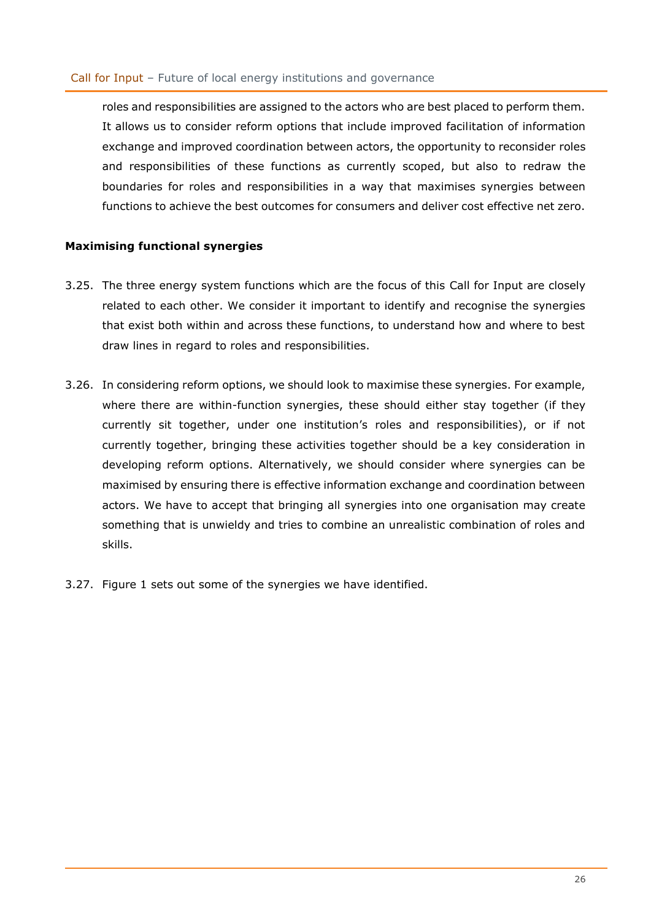roles and responsibilities are assigned to the actors who are best placed to perform them. It allows us to consider reform options that include improved facilitation of information exchange and improved coordination between actors, the opportunity to reconsider roles and responsibilities of these functions as currently scoped, but also to redraw the boundaries for roles and responsibilities in a way that maximises synergies between functions to achieve the best outcomes for consumers and deliver cost effective net zero.

### **Maximising functional synergies**

- 3.25. The three energy system functions which are the focus of this Call for Input are closely related to each other. We consider it important to identify and recognise the synergies that exist both within and across these functions, to understand how and where to best draw lines in regard to roles and responsibilities.
- 3.26. In considering reform options, we should look to maximise these synergies. For example, where there are within-function synergies, these should either stay together (if they currently sit together, under one institution's roles and responsibilities), or if not currently together, bringing these activities together should be a key consideration in developing reform options. Alternatively, we should consider where synergies can be maximised by ensuring there is effective information exchange and coordination between actors. We have to accept that bringing all synergies into one organisation may create something that is unwieldy and tries to combine an unrealistic combination of roles and skills.
- 3.27. Figure 1 sets out some of the synergies we have identified.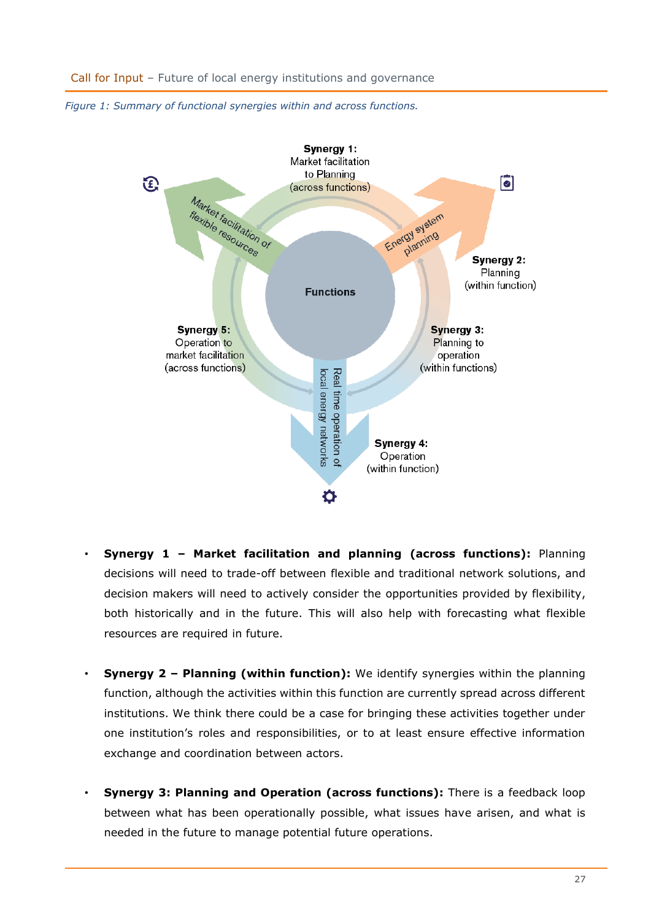



- **Synergy 1 – Market facilitation and planning (across functions):** Planning decisions will need to trade-off between flexible and traditional network solutions, and decision makers will need to actively consider the opportunities provided by flexibility, both historically and in the future. This will also help with forecasting what flexible resources are required in future.
- **Synergy 2 – Planning (within function):** We identify synergies within the planning function, although the activities within this function are currently spread across different institutions. We think there could be a case for bringing these activities together under one institution's roles and responsibilities, or to at least ensure effective information exchange and coordination between actors.
- **Synergy 3: Planning and Operation (across functions):** There is a feedback loop between what has been operationally possible, what issues have arisen, and what is needed in the future to manage potential future operations.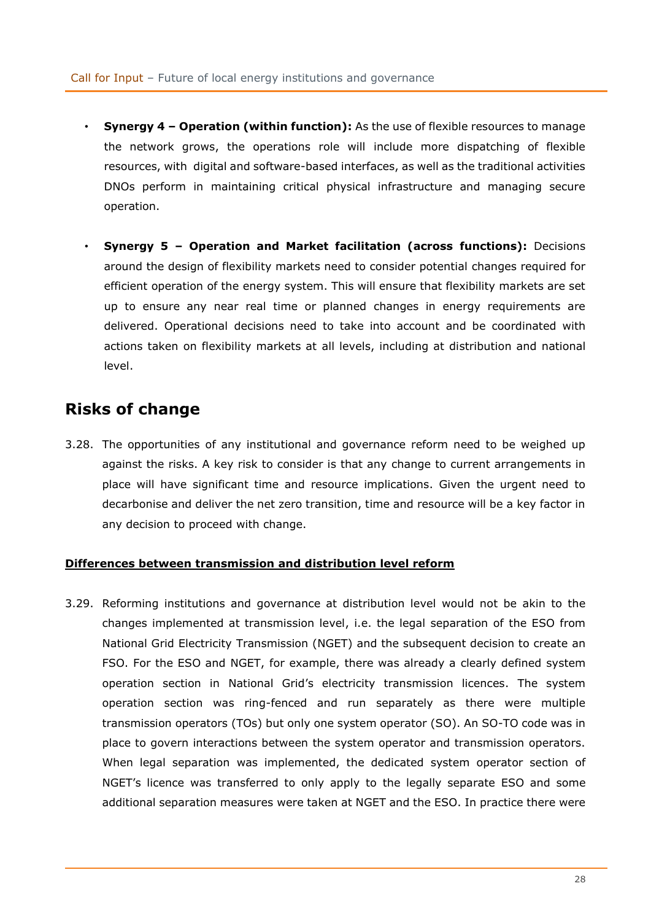- **Synergy 4 – Operation (within function):** As the use of flexible resources to manage the network grows, the operations role will include more dispatching of flexible resources, with digital and software-based interfaces, as well as the traditional activities DNOs perform in maintaining critical physical infrastructure and managing secure operation.
- **Synergy 5 – Operation and Market facilitation (across functions):** Decisions around the design of flexibility markets need to consider potential changes required for efficient operation of the energy system. This will ensure that flexibility markets are set up to ensure any near real time or planned changes in energy requirements are delivered. Operational decisions need to take into account and be coordinated with actions taken on flexibility markets at all levels, including at distribution and national level.

# <span id="page-27-0"></span>**Risks of change**

3.28. The opportunities of any institutional and governance reform need to be weighed up against the risks. A key risk to consider is that any change to current arrangements in place will have significant time and resource implications. Given the urgent need to decarbonise and deliver the net zero transition, time and resource will be a key factor in any decision to proceed with change.

### **Differences between transmission and distribution level reform**

3.29. Reforming institutions and governance at distribution level would not be akin to the changes implemented at transmission level, i.e. the legal separation of the ESO from National Grid Electricity Transmission (NGET) and the subsequent decision to create an FSO. For the ESO and NGET, for example, there was already a clearly defined system operation section in National Grid's electricity transmission licences. The system operation section was ring-fenced and run separately as there were multiple transmission operators (TOs) but only one system operator (SO). An SO-TO code was in place to govern interactions between the system operator and transmission operators. When legal separation was implemented, the dedicated system operator section of NGET's licence was transferred to only apply to the legally separate ESO and some additional separation measures were taken at NGET and the ESO. In practice there were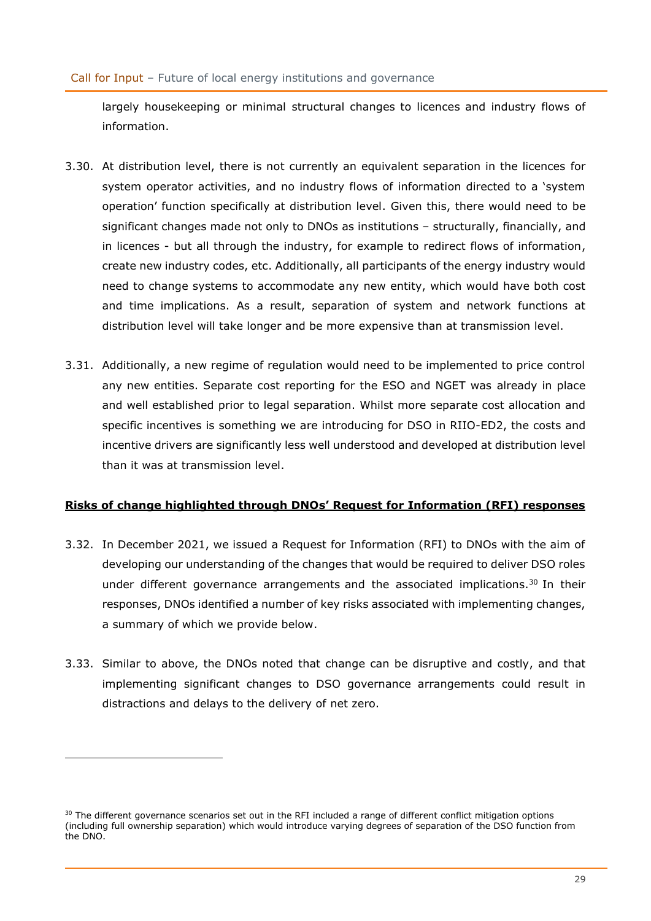largely housekeeping or minimal structural changes to licences and industry flows of information.

- 3.30. At distribution level, there is not currently an equivalent separation in the licences for system operator activities, and no industry flows of information directed to a 'system operation' function specifically at distribution level. Given this, there would need to be significant changes made not only to DNOs as institutions – structurally, financially, and in licences - but all through the industry, for example to redirect flows of information, create new industry codes, etc. Additionally, all participants of the energy industry would need to change systems to accommodate any new entity, which would have both cost and time implications. As a result, separation of system and network functions at distribution level will take longer and be more expensive than at transmission level.
- 3.31. Additionally, a new regime of regulation would need to be implemented to price control any new entities. Separate cost reporting for the ESO and NGET was already in place and well established prior to legal separation. Whilst more separate cost allocation and specific incentives is something we are introducing for DSO in RIIO-ED2, the costs and incentive drivers are significantly less well understood and developed at distribution level than it was at transmission level.

### **Risks of change highlighted through DNOs' Request for Information (RFI) responses**

- 3.32. In December 2021, we issued a Request for Information (RFI) to DNOs with the aim of developing our understanding of the changes that would be required to deliver DSO roles under different governance arrangements and the associated implications.<sup>30</sup> In their responses, DNOs identified a number of key risks associated with implementing changes, a summary of which we provide below.
- 3.33. Similar to above, the DNOs noted that change can be disruptive and costly, and that implementing significant changes to DSO governance arrangements could result in distractions and delays to the delivery of net zero.

<sup>&</sup>lt;sup>30</sup> The different governance scenarios set out in the RFI included a range of different conflict mitigation options (including full ownership separation) which would introduce varying degrees of separation of the DSO function from the DNO.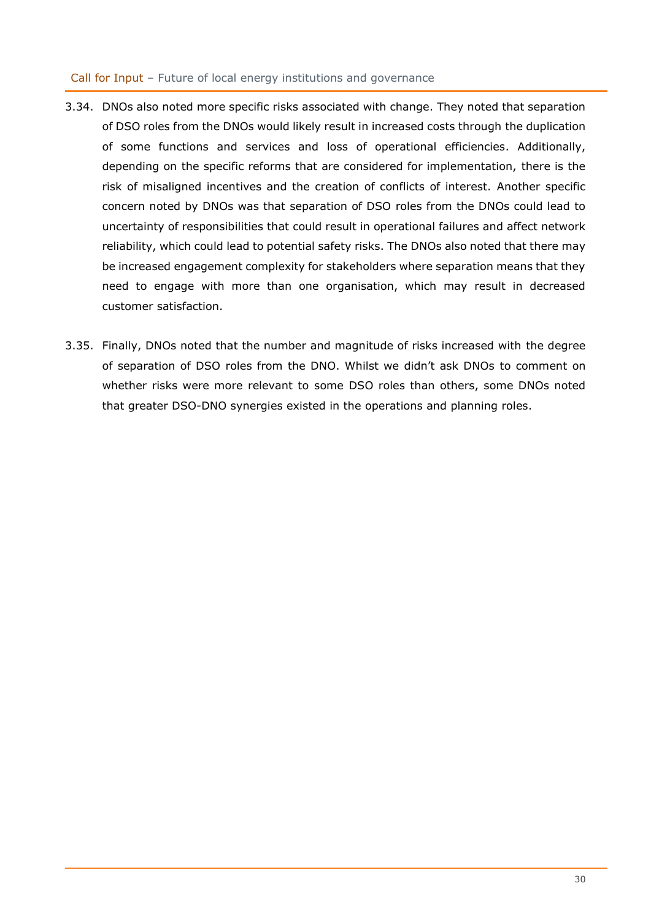- 3.34. DNOs also noted more specific risks associated with change. They noted that separation of DSO roles from the DNOs would likely result in increased costs through the duplication of some functions and services and loss of operational efficiencies. Additionally, depending on the specific reforms that are considered for implementation, there is the risk of misaligned incentives and the creation of conflicts of interest. Another specific concern noted by DNOs was that separation of DSO roles from the DNOs could lead to uncertainty of responsibilities that could result in operational failures and affect network reliability, which could lead to potential safety risks. The DNOs also noted that there may be increased engagement complexity for stakeholders where separation means that they need to engage with more than one organisation, which may result in decreased customer satisfaction.
- 3.35. Finally, DNOs noted that the number and magnitude of risks increased with the degree of separation of DSO roles from the DNO. Whilst we didn't ask DNOs to comment on whether risks were more relevant to some DSO roles than others, some DNOs noted that greater DSO-DNO synergies existed in the operations and planning roles.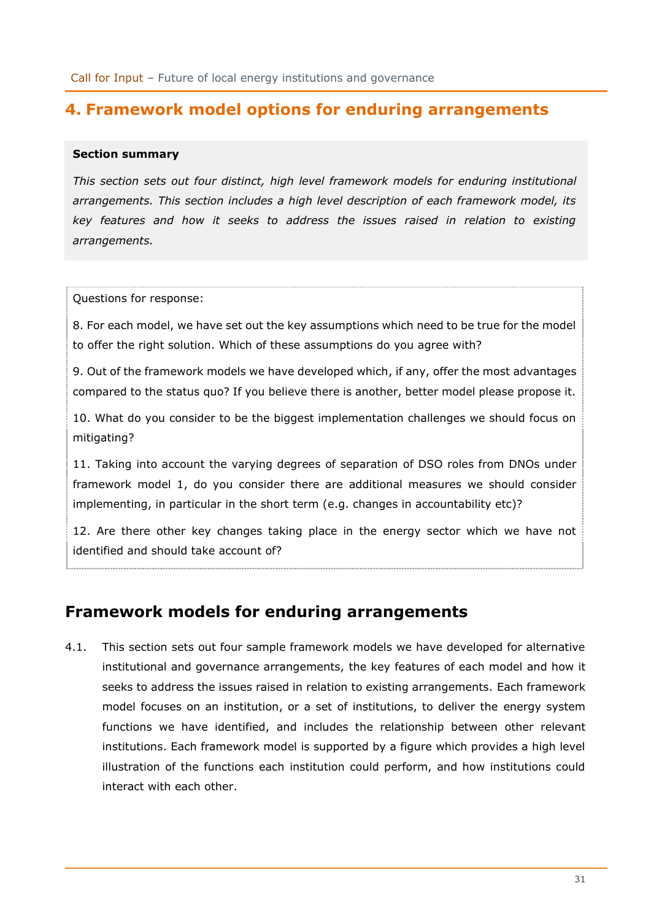# <span id="page-30-0"></span>**4. Framework model options for enduring arrangements**

### **Section summary**

*This section sets out four distinct, high level framework models for enduring institutional arrangements. This section includes a high level description of each framework model, its key features and how it seeks to address the issues raised in relation to existing arrangements.*

Questions for response:

8. For each model, we have set out the key assumptions which need to be true for the model to offer the right solution. Which of these assumptions do you agree with?

9. Out of the framework models we have developed which, if any, offer the most advantages compared to the status quo? If you believe there is another, better model please propose it.

10. What do you consider to be the biggest implementation challenges we should focus on mitigating?

11. Taking into account the varying degrees of separation of DSO roles from DNOs under framework model 1, do you consider there are additional measures we should consider implementing, in particular in the short term (e.g. changes in accountability etc)?

12. Are there other key changes taking place in the energy sector which we have not identified and should take account of?

# <span id="page-30-1"></span>**Framework models for enduring arrangements**

4.1. This section sets out four sample framework models we have developed for alternative institutional and governance arrangements, the key features of each model and how it seeks to address the issues raised in relation to existing arrangements. Each framework model focuses on an institution, or a set of institutions, to deliver the energy system functions we have identified, and includes the relationship between other relevant institutions. Each framework model is supported by a figure which provides a high level illustration of the functions each institution could perform, and how institutions could interact with each other.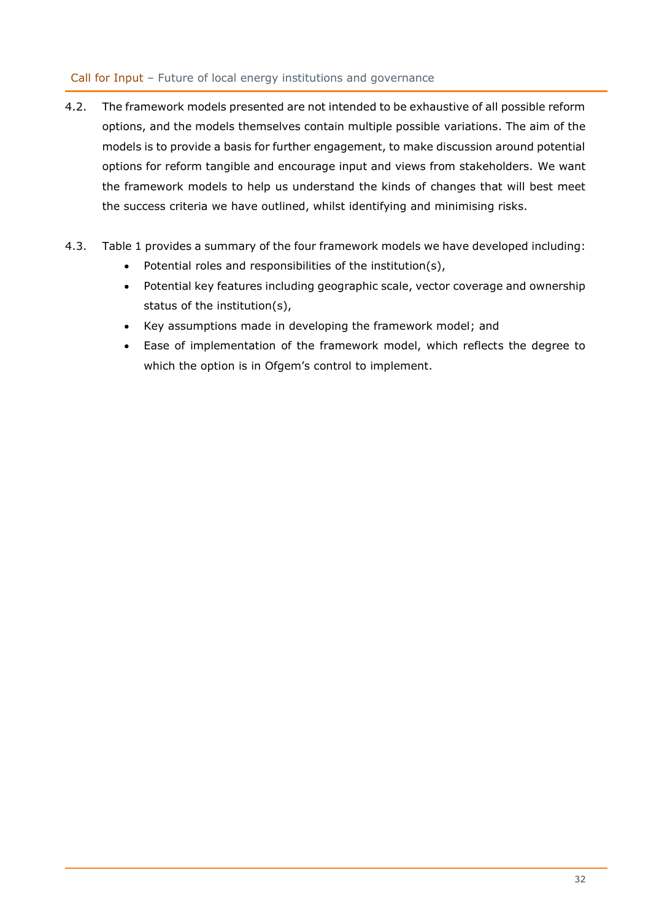- 4.2. The framework models presented are not intended to be exhaustive of all possible reform options, and the models themselves contain multiple possible variations. The aim of the models is to provide a basis for further engagement, to make discussion around potential options for reform tangible and encourage input and views from stakeholders. We want the framework models to help us understand the kinds of changes that will best meet the success criteria we have outlined, whilst identifying and minimising risks.
- 4.3. Table 1 provides a summary of the four framework models we have developed including:
	- Potential roles and responsibilities of the institution(s),
	- Potential key features including geographic scale, vector coverage and ownership status of the institution(s),
	- Key assumptions made in developing the framework model; and
	- Ease of implementation of the framework model, which reflects the degree to which the option is in Ofgem's control to implement.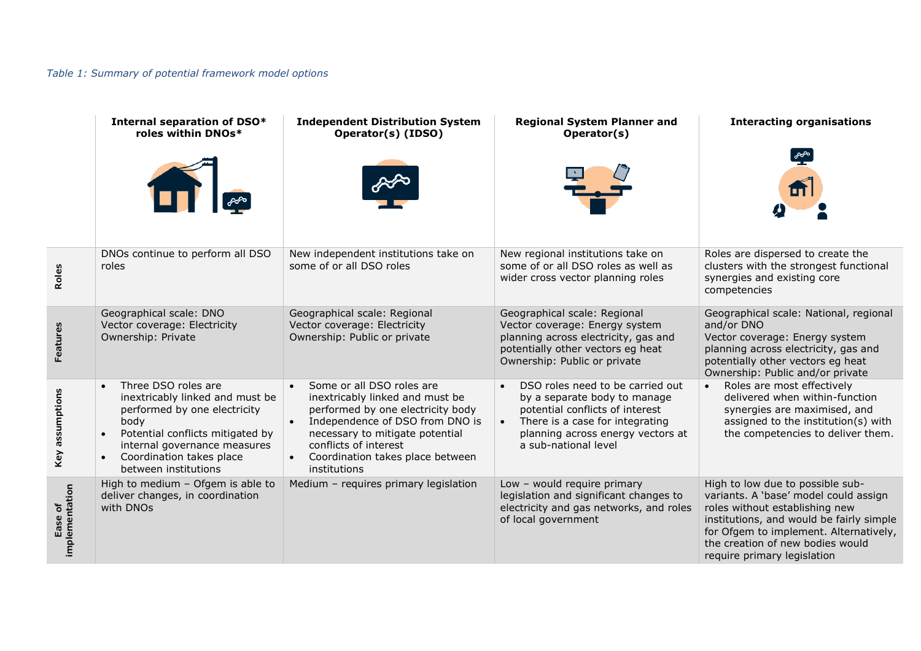## *Table 1: Summary of potential framework model options*

|                           | Internal separation of DSO*<br>roles within DNOs*                                                                                                                                                                                                | <b>Independent Distribution System</b><br>Operator(s) (IDSO)                                                                                                                                                                                                                                | <b>Regional System Planner and</b><br>Operator(s)                                                                                                                                                   | <b>Interacting organisations</b>                                                                                                                                                                                                                                     |
|---------------------------|--------------------------------------------------------------------------------------------------------------------------------------------------------------------------------------------------------------------------------------------------|---------------------------------------------------------------------------------------------------------------------------------------------------------------------------------------------------------------------------------------------------------------------------------------------|-----------------------------------------------------------------------------------------------------------------------------------------------------------------------------------------------------|----------------------------------------------------------------------------------------------------------------------------------------------------------------------------------------------------------------------------------------------------------------------|
|                           |                                                                                                                                                                                                                                                  |                                                                                                                                                                                                                                                                                             |                                                                                                                                                                                                     |                                                                                                                                                                                                                                                                      |
| Roles                     | DNOs continue to perform all DSO<br>roles                                                                                                                                                                                                        | New independent institutions take on<br>some of or all DSO roles                                                                                                                                                                                                                            | New regional institutions take on<br>some of or all DSO roles as well as<br>wider cross vector planning roles                                                                                       | Roles are dispersed to create the<br>clusters with the strongest functional<br>synergies and existing core<br>competencies                                                                                                                                           |
| Features                  | Geographical scale: DNO<br>Vector coverage: Electricity<br>Ownership: Private                                                                                                                                                                    | Geographical scale: Regional<br>Vector coverage: Electricity<br>Ownership: Public or private                                                                                                                                                                                                | Geographical scale: Regional<br>Vector coverage: Energy system<br>planning across electricity, gas and<br>potentially other vectors eg heat<br>Ownership: Public or private                         | Geographical scale: National, regional<br>and/or DNO<br>Vector coverage: Energy system<br>planning across electricity, gas and<br>potentially other vectors eg heat<br>Ownership: Public and/or private                                                              |
| Key assumptions           | Three DSO roles are<br>$\bullet$<br>inextricably linked and must be<br>performed by one electricity<br>body<br>Potential conflicts mitigated by<br>internal governance measures<br>Coordination takes place<br>$\bullet$<br>between institutions | Some or all DSO roles are<br>$\bullet$<br>inextricably linked and must be<br>performed by one electricity body<br>Independence of DSO from DNO is<br>$\bullet$<br>necessary to mitigate potential<br>conflicts of interest<br>Coordination takes place between<br>$\bullet$<br>institutions | DSO roles need to be carried out<br>by a separate body to manage<br>potential conflicts of interest<br>There is a case for integrating<br>planning across energy vectors at<br>a sub-national level | Roles are most effectively<br>delivered when within-function<br>synergies are maximised, and<br>assigned to the institution(s) with<br>the competencies to deliver them.                                                                                             |
| Ease of<br>implementation | High to medium - Ofgem is able to<br>deliver changes, in coordination<br>with DNOs                                                                                                                                                               | Medium - requires primary legislation                                                                                                                                                                                                                                                       | Low - would require primary<br>legislation and significant changes to<br>electricity and gas networks, and roles<br>of local government                                                             | High to low due to possible sub-<br>variants. A 'base' model could assign<br>roles without establishing new<br>institutions, and would be fairly simple<br>for Ofgem to implement. Alternatively,<br>the creation of new bodies would<br>require primary legislation |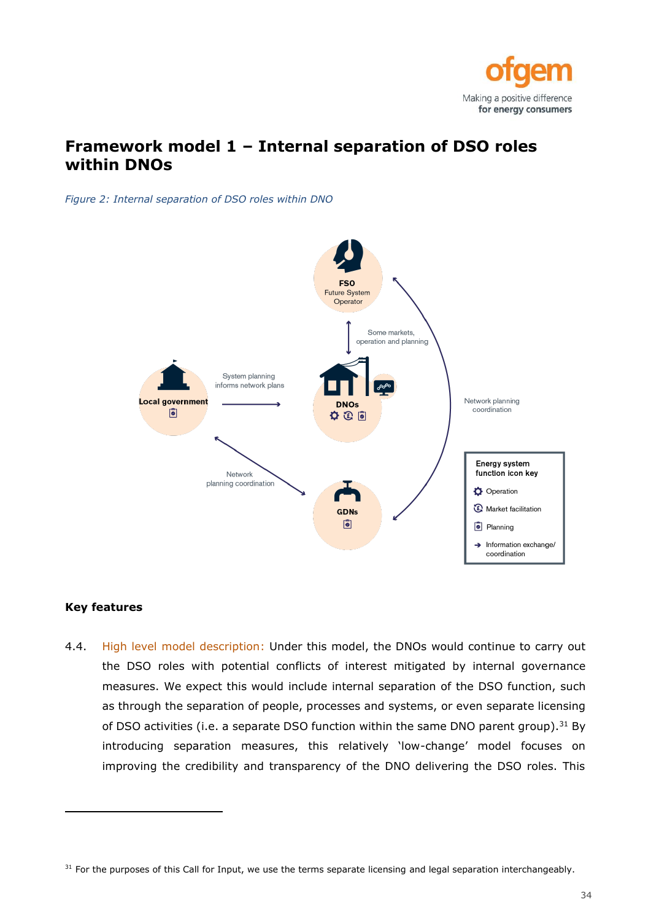

# <span id="page-33-0"></span>**Framework model 1 – Internal separation of DSO roles within DNOs**

*Figure 2: Internal separation of DSO roles within DNO*



#### **Key features**

4.4. High level model description: Under this model, the DNOs would continue to carry out the DSO roles with potential conflicts of interest mitigated by internal governance measures. We expect this would include internal separation of the DSO function, such as through the separation of people, processes and systems, or even separate licensing of DSO activities (i.e. a separate DSO function within the same DNO parent group).<sup>31</sup> By introducing separation measures, this relatively 'low-change' model focuses on improving the credibility and transparency of the DNO delivering the DSO roles. This

 $31$  For the purposes of this Call for Input, we use the terms separate licensing and legal separation interchangeably.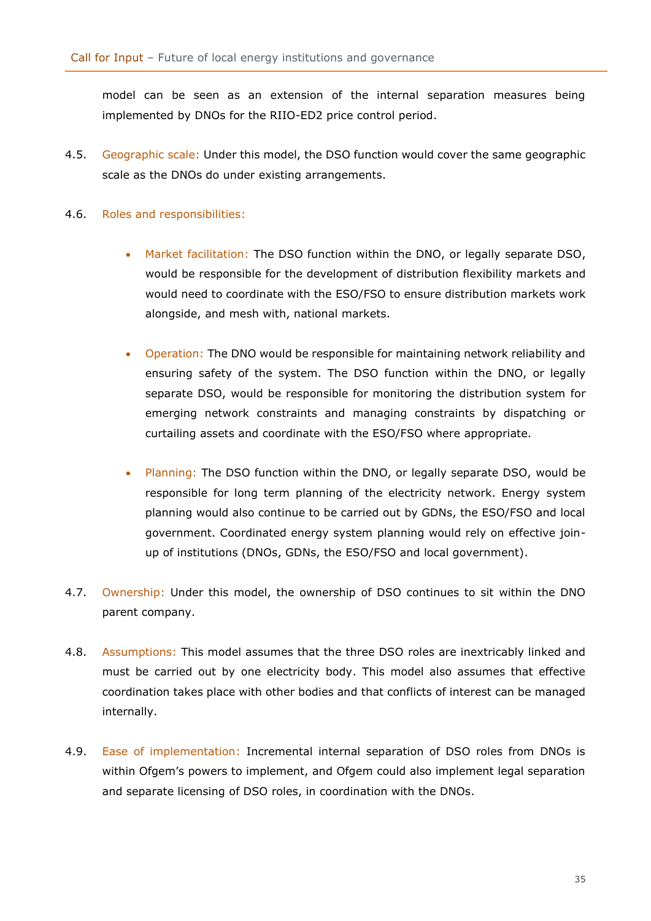model can be seen as an extension of the internal separation measures being implemented by DNOs for the RIIO-ED2 price control period.

- 4.5. Geographic scale: Under this model, the DSO function would cover the same geographic scale as the DNOs do under existing arrangements.
- 4.6. Roles and responsibilities:
	- Market facilitation: The DSO function within the DNO, or legally separate DSO, would be responsible for the development of distribution flexibility markets and would need to coordinate with the ESO/FSO to ensure distribution markets work alongside, and mesh with, national markets.
	- Operation: The DNO would be responsible for maintaining network reliability and ensuring safety of the system. The DSO function within the DNO, or legally separate DSO, would be responsible for monitoring the distribution system for emerging network constraints and managing constraints by dispatching or curtailing assets and coordinate with the ESO/FSO where appropriate.
	- Planning: The DSO function within the DNO, or legally separate DSO, would be responsible for long term planning of the electricity network. Energy system planning would also continue to be carried out by GDNs, the ESO/FSO and local government. Coordinated energy system planning would rely on effective joinup of institutions (DNOs, GDNs, the ESO/FSO and local government).
- 4.7. Ownership: Under this model, the ownership of DSO continues to sit within the DNO parent company.
- 4.8. Assumptions: This model assumes that the three DSO roles are inextricably linked and must be carried out by one electricity body. This model also assumes that effective coordination takes place with other bodies and that conflicts of interest can be managed internally.
- 4.9. Ease of implementation: Incremental internal separation of DSO roles from DNOs is within Ofgem's powers to implement, and Ofgem could also implement legal separation and separate licensing of DSO roles, in coordination with the DNOs.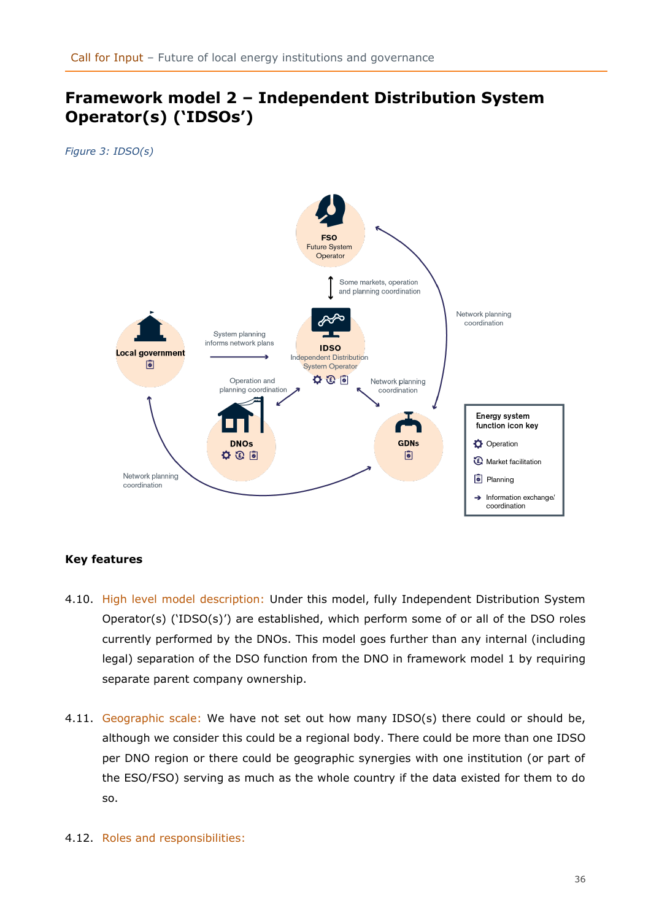# <span id="page-35-0"></span>**Framework model 2 – Independent Distribution System Operator(s) ('IDSOs')**

*Figure 3: IDSO(s)*



### **Key features**

- 4.10. High level model description: Under this model, fully Independent Distribution System Operator(s) ('IDSO(s)') are established, which perform some of or all of the DSO roles currently performed by the DNOs. This model goes further than any internal (including legal) separation of the DSO function from the DNO in framework model 1 by requiring separate parent company ownership.
- 4.11. Geographic scale: We have not set out how many IDSO(s) there could or should be, although we consider this could be a regional body. There could be more than one IDSO per DNO region or there could be geographic synergies with one institution (or part of the ESO/FSO) serving as much as the whole country if the data existed for them to do so.
- 4.12. Roles and responsibilities: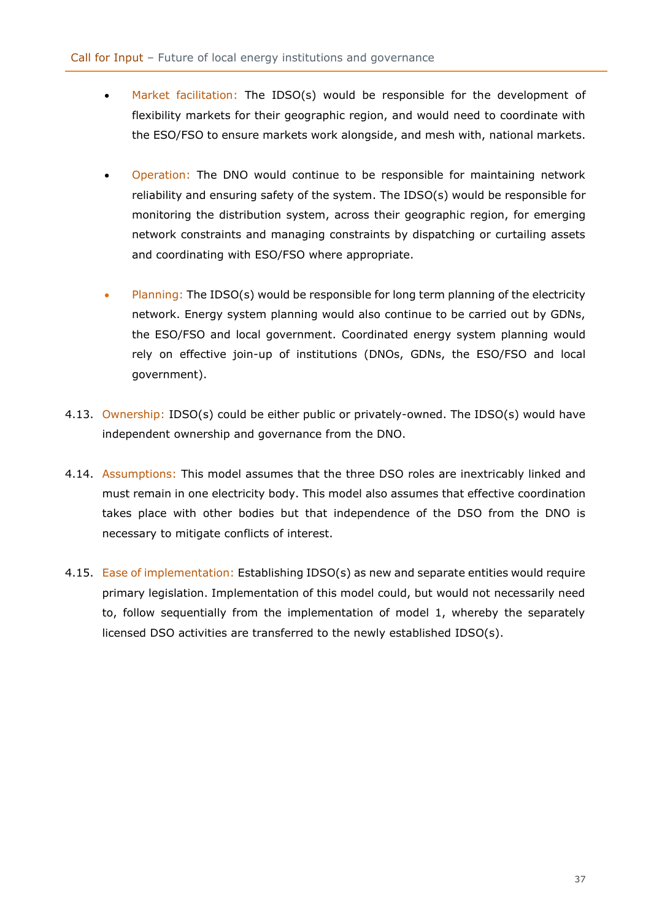- Market facilitation: The IDSO(s) would be responsible for the development of flexibility markets for their geographic region, and would need to coordinate with the ESO/FSO to ensure markets work alongside, and mesh with, national markets.
- Operation: The DNO would continue to be responsible for maintaining network reliability and ensuring safety of the system. The IDSO(s) would be responsible for monitoring the distribution system, across their geographic region, for emerging network constraints and managing constraints by dispatching or curtailing assets and coordinating with ESO/FSO where appropriate.
- Planning: The IDSO(s) would be responsible for long term planning of the electricity network. Energy system planning would also continue to be carried out by GDNs, the ESO/FSO and local government. Coordinated energy system planning would rely on effective join-up of institutions (DNOs, GDNs, the ESO/FSO and local government).
- 4.13. Ownership: IDSO(s) could be either public or privately-owned. The IDSO(s) would have independent ownership and governance from the DNO.
- 4.14. Assumptions: This model assumes that the three DSO roles are inextricably linked and must remain in one electricity body. This model also assumes that effective coordination takes place with other bodies but that independence of the DSO from the DNO is necessary to mitigate conflicts of interest.
- 4.15. Ease of implementation: Establishing IDSO(s) as new and separate entities would require primary legislation. Implementation of this model could, but would not necessarily need to, follow sequentially from the implementation of model 1, whereby the separately licensed DSO activities are transferred to the newly established IDSO(s).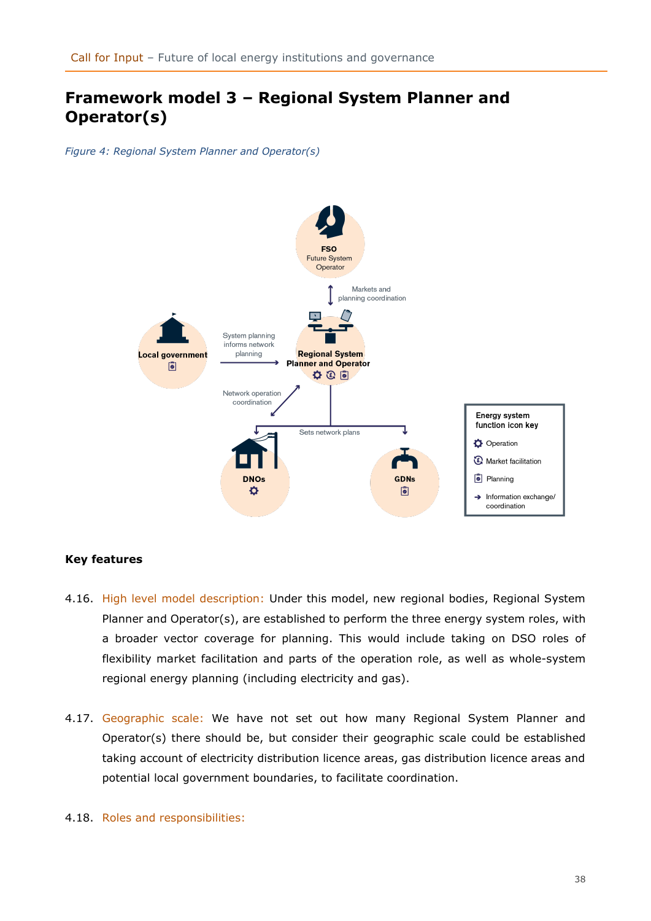# <span id="page-37-0"></span>**Framework model 3 – Regional System Planner and Operator(s)**

*Figure 4: Regional System Planner and Operator(s)*



#### **Key features**

- 4.16. High level model description: Under this model, new regional bodies, Regional System Planner and Operator(s), are established to perform the three energy system roles, with a broader vector coverage for planning. This would include taking on DSO roles of flexibility market facilitation and parts of the operation role, as well as whole-system regional energy planning (including electricity and gas).
- 4.17. Geographic scale: We have not set out how many Regional System Planner and Operator(s) there should be, but consider their geographic scale could be established taking account of electricity distribution licence areas, gas distribution licence areas and potential local government boundaries, to facilitate coordination.
- 4.18. Roles and responsibilities: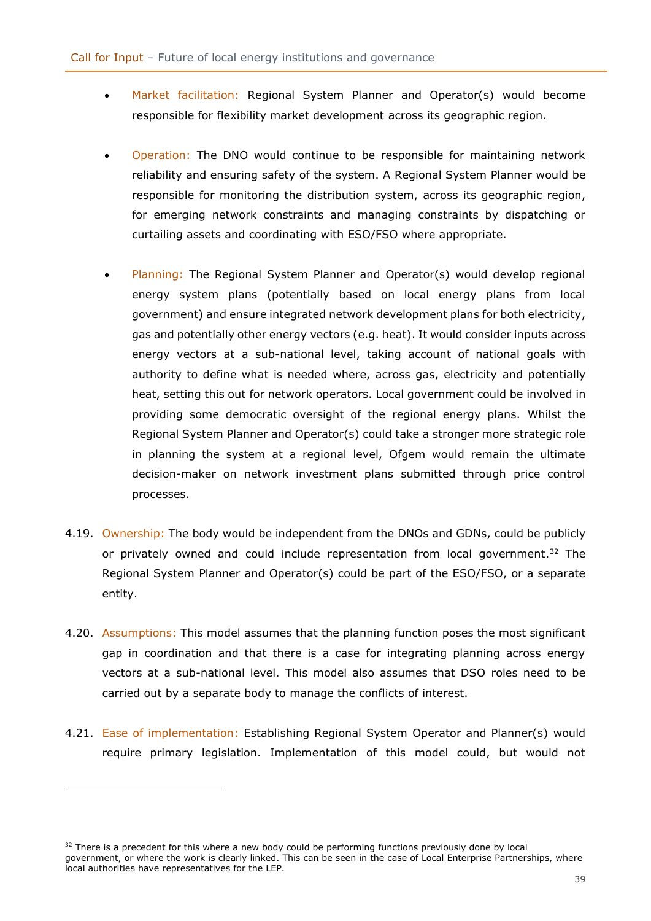- Market facilitation: Regional System Planner and Operator(s) would become responsible for flexibility market development across its geographic region.
- Operation: The DNO would continue to be responsible for maintaining network reliability and ensuring safety of the system. A Regional System Planner would be responsible for monitoring the distribution system, across its geographic region, for emerging network constraints and managing constraints by dispatching or curtailing assets and coordinating with ESO/FSO where appropriate.
- Planning: The Regional System Planner and Operator(s) would develop regional energy system plans (potentially based on local energy plans from local government) and ensure integrated network development plans for both electricity, gas and potentially other energy vectors (e.g. heat). It would consider inputs across energy vectors at a sub-national level, taking account of national goals with authority to define what is needed where, across gas, electricity and potentially heat, setting this out for network operators. Local government could be involved in providing some democratic oversight of the regional energy plans. Whilst the Regional System Planner and Operator(s) could take a stronger more strategic role in planning the system at a regional level, Ofgem would remain the ultimate decision-maker on network investment plans submitted through price control processes.
- <span id="page-38-0"></span>4.19. Ownership: The body would be independent from the DNOs and GDNs, could be publicly or privately owned and could include representation from local government.<sup>32</sup> The Regional System Planner and Operator(s) could be part of the ESO/FSO, or a separate entity.
- 4.20. Assumptions: This model assumes that the planning function poses the most significant gap in coordination and that there is a case for integrating planning across energy vectors at a sub-national level. This model also assumes that DSO roles need to be carried out by a separate body to manage the conflicts of interest.
- 4.21. Ease of implementation: Establishing Regional System Operator and Planner(s) would require primary legislation. Implementation of this model could, but would not

 $32$  There is a precedent for this where a new body could be performing functions previously done by local government, or where the work is clearly linked. This can be seen in the case of Local Enterprise Partnerships, where local authorities have representatives for the LEP.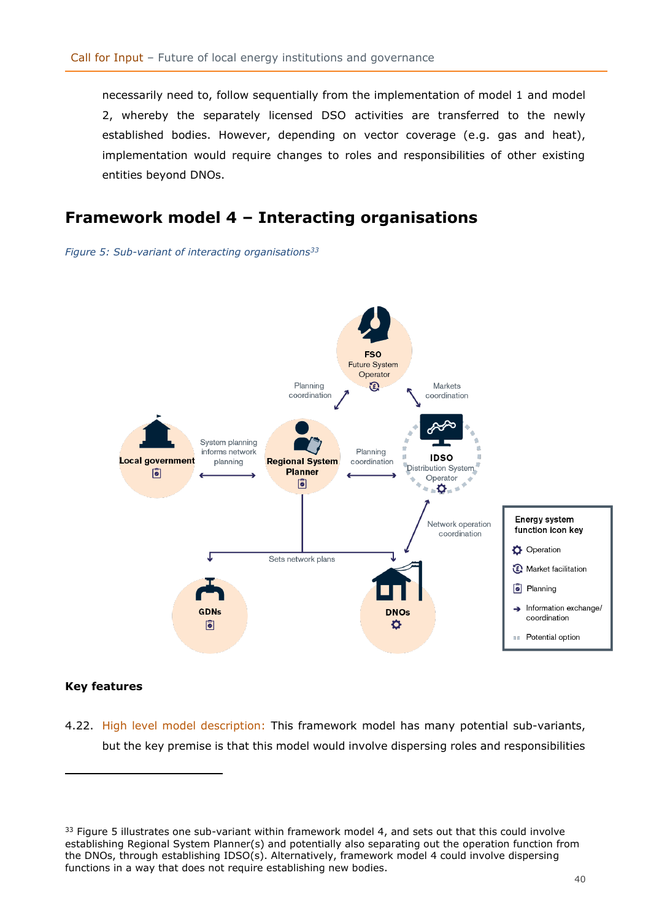necessarily need to, follow sequentially from the implementation of model 1 and model 2, whereby the separately licensed DSO activities are transferred to the newly established bodies. However, depending on vector coverage (e.g. gas and heat), implementation would require changes to roles and responsibilities of other existing entities beyond DNOs.

# <span id="page-39-0"></span>**Framework model 4 – Interacting organisations**

#### *Figure 5: Sub-variant of interacting organisations<sup>33</sup>*



#### **Key features**

4.22. High level model description: This framework model has many potential sub-variants, but the key premise is that this model would involve dispersing roles and responsibilities

 $33$  Figure 5 illustrates one sub-variant within framework model 4, and sets out that this could involve establishing Regional System Planner(s) and potentially also separating out the operation function from the DNOs, through establishing IDSO(s). Alternatively, framework model 4 could involve dispersing functions in a way that does not require establishing new bodies.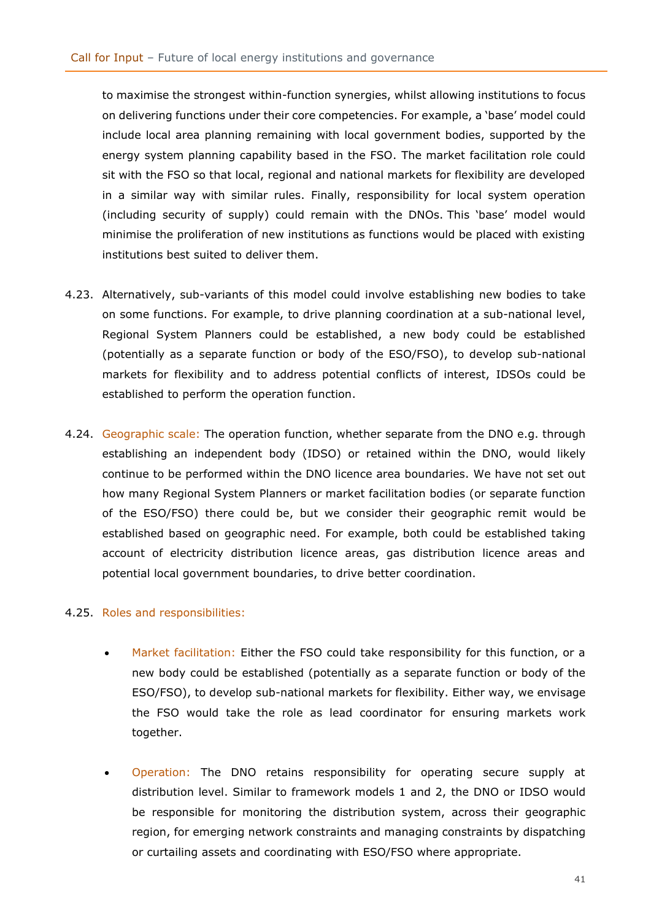to maximise the strongest within-function synergies, whilst allowing institutions to focus on delivering functions under their core competencies. For example, a 'base' model could include local area planning remaining with local government bodies, supported by the energy system planning capability based in the FSO. The market facilitation role could sit with the FSO so that local, regional and national markets for flexibility are developed in a similar way with similar rules. Finally, responsibility for local system operation (including security of supply) could remain with the DNOs. This 'base' model would minimise the proliferation of new institutions as functions would be placed with existing institutions best suited to deliver them.

- 4.23. Alternatively, sub-variants of this model could involve establishing new bodies to take on some functions. For example, to drive planning coordination at a sub-national level, Regional System Planners could be established, a new body could be established (potentially as a separate function or body of the ESO/FSO), to develop sub-national markets for flexibility and to address potential conflicts of interest, IDSOs could be established to perform the operation function.
- 4.24. Geographic scale: The operation function, whether separate from the DNO e.g. through establishing an independent body (IDSO) or retained within the DNO, would likely continue to be performed within the DNO licence area boundaries. We have not set out how many Regional System Planners or market facilitation bodies (or separate function of the ESO/FSO) there could be, but we consider their geographic remit would be established based on geographic need. For example, both could be established taking account of electricity distribution licence areas, gas distribution licence areas and potential local government boundaries, to drive better coordination.

#### 4.25. Roles and responsibilities:

- Market facilitation: Either the FSO could take responsibility for this function, or a new body could be established (potentially as a separate function or body of the ESO/FSO), to develop sub-national markets for flexibility. Either way, we envisage the FSO would take the role as lead coordinator for ensuring markets work together.
- Operation: The DNO retains responsibility for operating secure supply at distribution level. Similar to framework models 1 and 2, the DNO or IDSO would be responsible for monitoring the distribution system, across their geographic region, for emerging network constraints and managing constraints by dispatching or curtailing assets and coordinating with ESO/FSO where appropriate.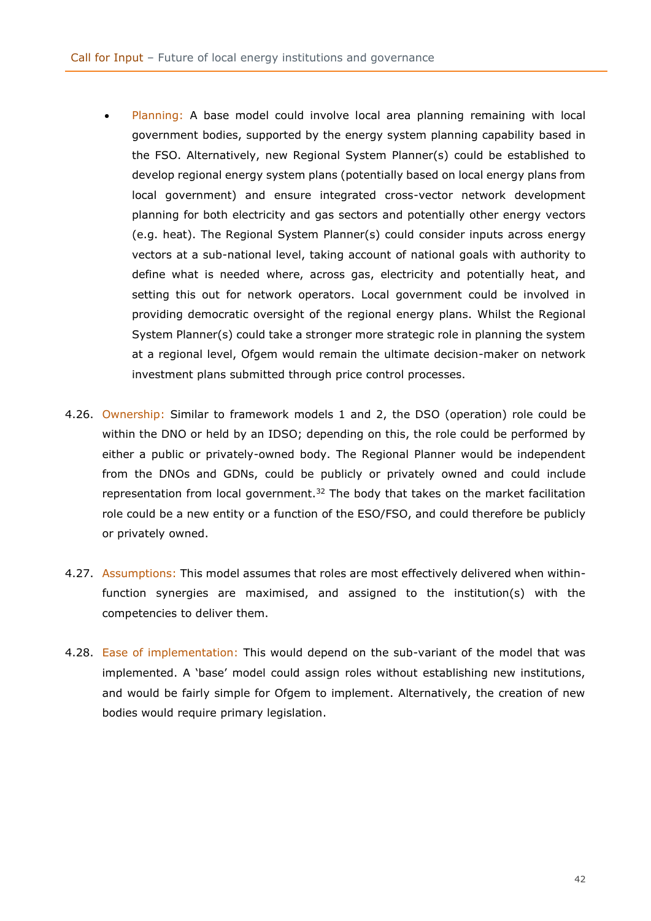- Planning: A base model could involve local area planning remaining with local government bodies, supported by the energy system planning capability based in the FSO. Alternatively, new Regional System Planner(s) could be established to develop regional energy system plans (potentially based on local energy plans from local government) and ensure integrated cross-vector network development planning for both electricity and gas sectors and potentially other energy vectors (e.g. heat). The Regional System Planner(s) could consider inputs across energy vectors at a sub-national level, taking account of national goals with authority to define what is needed where, across gas, electricity and potentially heat, and setting this out for network operators. Local government could be involved in providing democratic oversight of the regional energy plans. Whilst the Regional System Planner(s) could take a stronger more strategic role in planning the system at a regional level, Ofgem would remain the ultimate decision-maker on network investment plans submitted through price control processes.
- 4.26. Ownership: Similar to framework models 1 and 2, the DSO (operation) role could be within the DNO or held by an IDSO; depending on this, the role could be performed by either a public or privately-owned body. The Regional Planner would be independent from the DNOs and GDNs, could be publicly or privately owned and could include representation from local government.<sup>[32](#page-38-0)</sup> The body that takes on the market facilitation role could be a new entity or a function of the ESO/FSO, and could therefore be publicly or privately owned.
- 4.27. Assumptions: This model assumes that roles are most effectively delivered when withinfunction synergies are maximised, and assigned to the institution(s) with the competencies to deliver them.
- 4.28. Ease of implementation: This would depend on the sub-variant of the model that was implemented. A 'base' model could assign roles without establishing new institutions, and would be fairly simple for Ofgem to implement. Alternatively, the creation of new bodies would require primary legislation.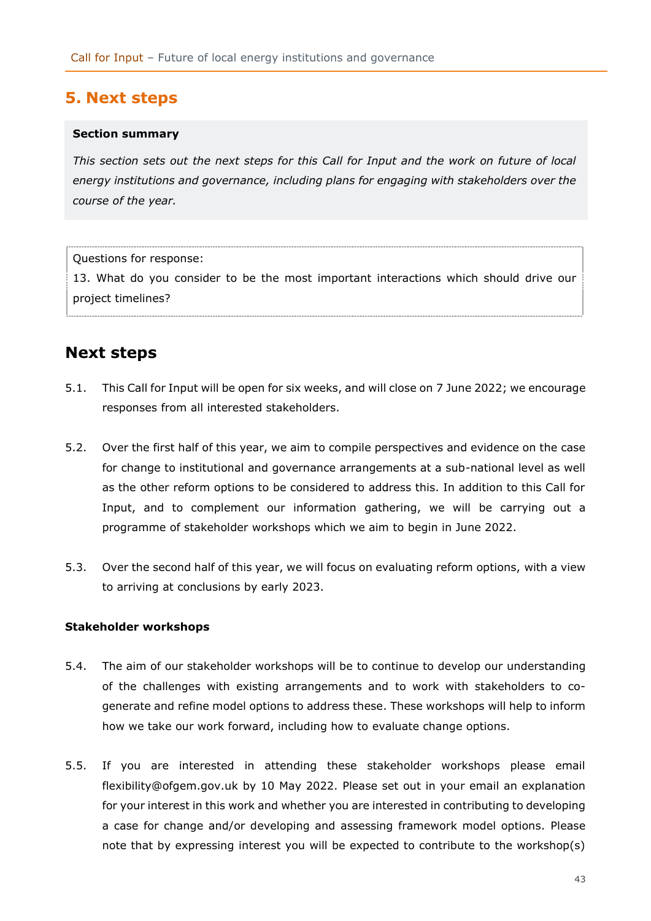## <span id="page-42-0"></span>**5. Next steps**

#### **Section summary**

*This section sets out the next steps for this Call for Input and the work on future of local energy institutions and governance, including plans for engaging with stakeholders over the course of the year.*

Questions for response:

13. What do you consider to be the most important interactions which should drive our project timelines?

## <span id="page-42-1"></span>**Next steps**

- 5.1. This Call for Input will be open for six weeks, and will close on 7 June 2022; we encourage responses from all interested stakeholders.
- 5.2. Over the first half of this year, we aim to compile perspectives and evidence on the case for change to institutional and governance arrangements at a sub-national level as well as the other reform options to be considered to address this. In addition to this Call for Input, and to complement our information gathering, we will be carrying out a programme of stakeholder workshops which we aim to begin in June 2022.
- 5.3. Over the second half of this year, we will focus on evaluating reform options, with a view to arriving at conclusions by early 2023.

#### **Stakeholder workshops**

- 5.4. The aim of our stakeholder workshops will be to continue to develop our understanding of the challenges with existing arrangements and to work with stakeholders to cogenerate and refine model options to address these. These workshops will help to inform how we take our work forward, including how to evaluate change options.
- 5.5. If you are interested in attending these stakeholder workshops please email [flexibility@ofgem.gov.uk](mailto:flexibility@ofgem.gov.uk) by 10 May 2022. Please set out in your email an explanation for your interest in this work and whether you are interested in contributing to developing a case for change and/or developing and assessing framework model options. Please note that by expressing interest you will be expected to contribute to the workshop(s)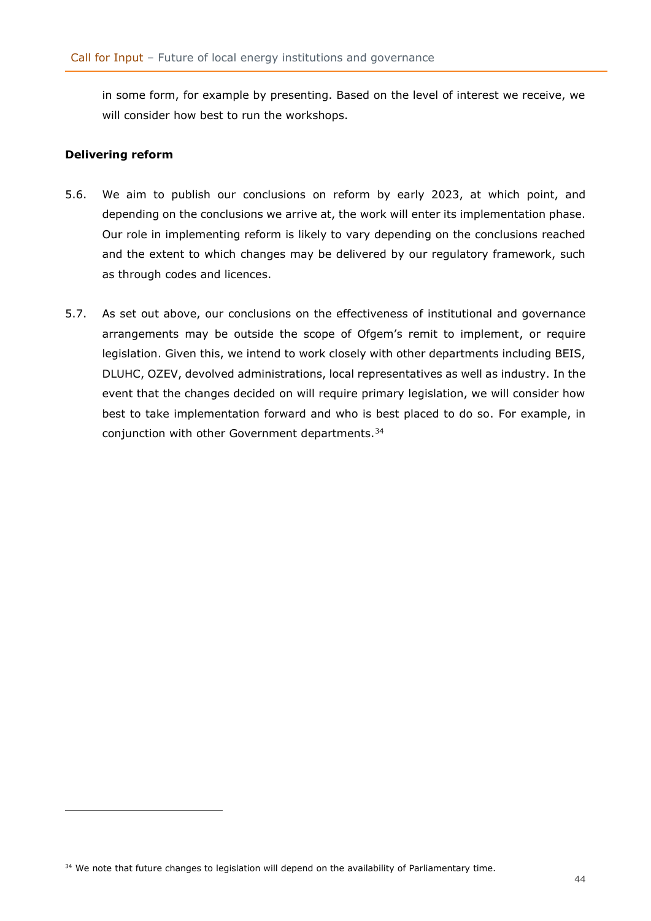in some form, for example by presenting. Based on the level of interest we receive, we will consider how best to run the workshops.

#### **Delivering reform**

- 5.6. We aim to publish our conclusions on reform by early 2023, at which point, and depending on the conclusions we arrive at, the work will enter its implementation phase. Our role in implementing reform is likely to vary depending on the conclusions reached and the extent to which changes may be delivered by our regulatory framework, such as through codes and licences.
- 5.7. As set out above, our conclusions on the effectiveness of institutional and governance arrangements may be outside the scope of Ofgem's remit to implement, or require legislation. Given this, we intend to work closely with other departments including BEIS, DLUHC, OZEV, devolved administrations, local representatives as well as industry. In the event that the changes decided on will require primary legislation, we will consider how best to take implementation forward and who is best placed to do so. For example, in conjunction with other Government departments.<sup>34</sup>

<sup>&</sup>lt;sup>34</sup> We note that future changes to legislation will depend on the availability of Parliamentary time.